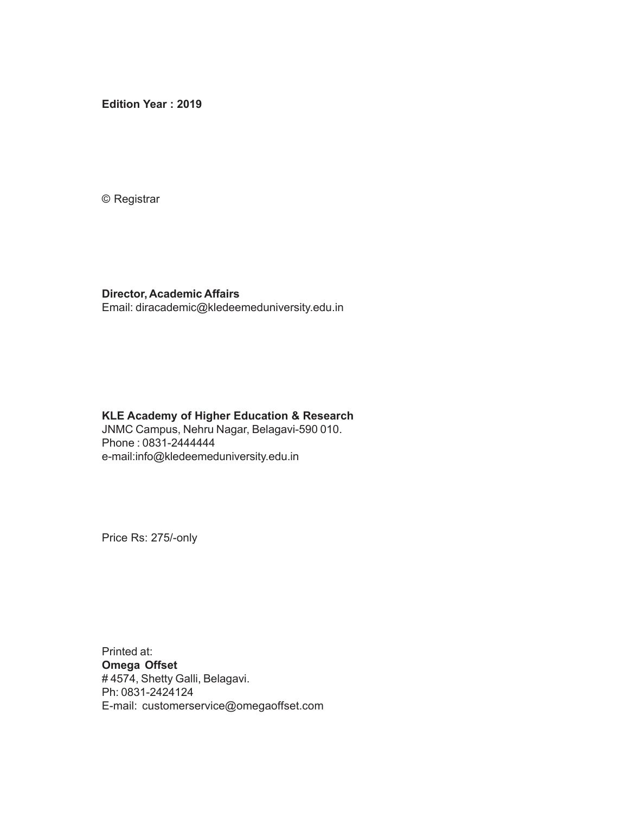**Edition Year : 2019**

© Registrar

#### **Director, Academic Affairs** Email: diracademic@kledeemeduniversity.edu.in

### **KLE Academy of Higher Education & Research**

JNMC Campus, Nehru Nagar, Belagavi-590 010. Phone : 0831-2444444 e-mail:info@kledeemeduniversity.edu.in

Price Rs: 275/-only

Printed at: **Omega Offset** # 4574, Shetty Galli, Belagavi. Ph: 0831-2424124 E-mail: customerservice@omegaoffset.com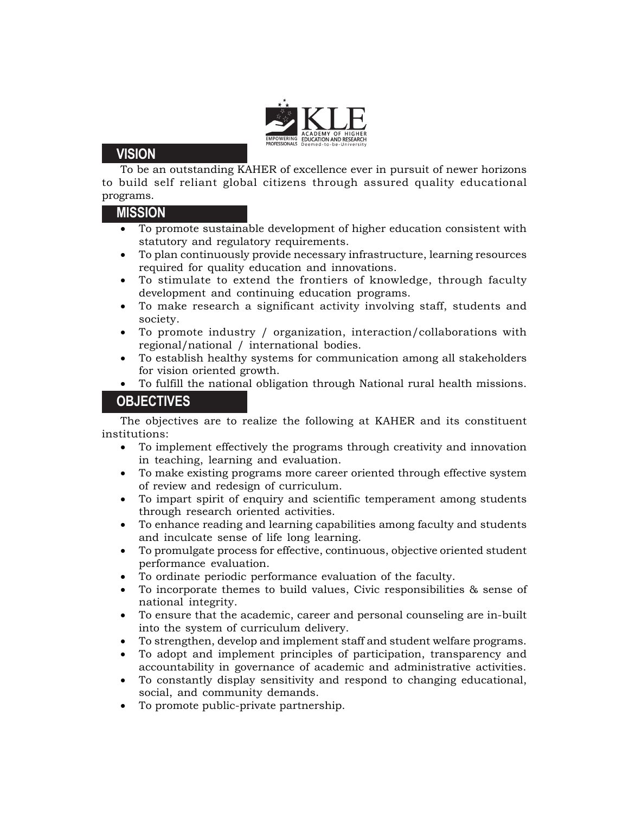

### **VISION**

To be an outstanding KAHER of excellence ever in pursuit of newer horizons to build self reliant global citizens through assured quality educational programs.

#### **MISSION**

- To promote sustainable development of higher education consistent with statutory and regulatory requirements.
- To plan continuously provide necessary infrastructure, learning resources required for quality education and innovations.
- To stimulate to extend the frontiers of knowledge, through faculty development and continuing education programs.
- To make research a significant activity involving staff, students and society.
- To promote industry / organization, interaction/collaborations with regional/national / international bodies.
- To establish healthy systems for communication among all stakeholders for vision oriented growth.
- To fulfill the national obligation through National rural health missions.

## **OBJECTIVES**

The objectives are to realize the following at KAHER and its constituent institutions:

- To implement effectively the programs through creativity and innovation in teaching, learning and evaluation.
- To make existing programs more career oriented through effective system of review and redesign of curriculum.
- To impart spirit of enquiry and scientific temperament among students through research oriented activities.
- To enhance reading and learning capabilities among faculty and students and inculcate sense of life long learning.
- To promulgate process for effective, continuous, objective oriented student performance evaluation.
- To ordinate periodic performance evaluation of the faculty.
- To incorporate themes to build values, Civic responsibilities & sense of national integrity.
- To ensure that the academic, career and personal counseling are in-built into the system of curriculum delivery.
- To strengthen, develop and implement staff and student welfare programs.
- To adopt and implement principles of participation, transparency and accountability in governance of academic and administrative activities.
- To constantly display sensitivity and respond to changing educational, social, and community demands.
- To promote public-private partnership.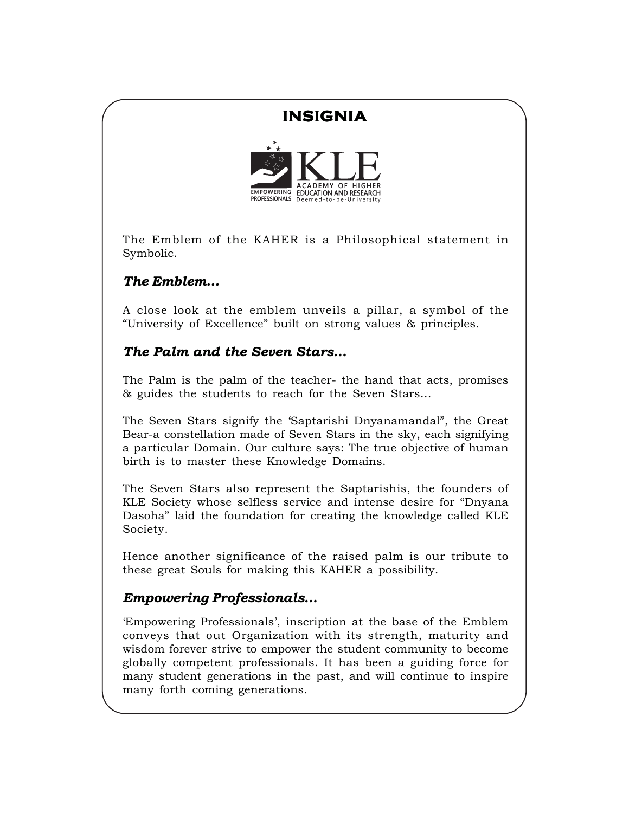# **INSIGNIA**



The Emblem of the KAHER is a Philosophical statement in Symbolic.

## *The Emblem…*

A close look at the emblem unveils a pillar, a symbol of the "University of Excellence" built on strong values & principles.

## *The Palm and the Seven Stars…*

The Palm is the palm of the teacher- the hand that acts, promises & guides the students to reach for the Seven Stars…

The Seven Stars signify the 'Saptarishi Dnyanamandal", the Great Bear-a constellation made of Seven Stars in the sky, each signifying a particular Domain. Our culture says: The true objective of human birth is to master these Knowledge Domains.

The Seven Stars also represent the Saptarishis, the founders of KLE Society whose selfless service and intense desire for "Dnyana Dasoha" laid the foundation for creating the knowledge called KLE Society.

Hence another significance of the raised palm is our tribute to these great Souls for making this KAHER a possibility.

## *Empowering Professionals…*

'Empowering Professionals', inscription at the base of the Emblem conveys that out Organization with its strength, maturity and wisdom forever strive to empower the student community to become globally competent professionals. It has been a guiding force for many student generations in the past, and will continue to inspire many forth coming generations.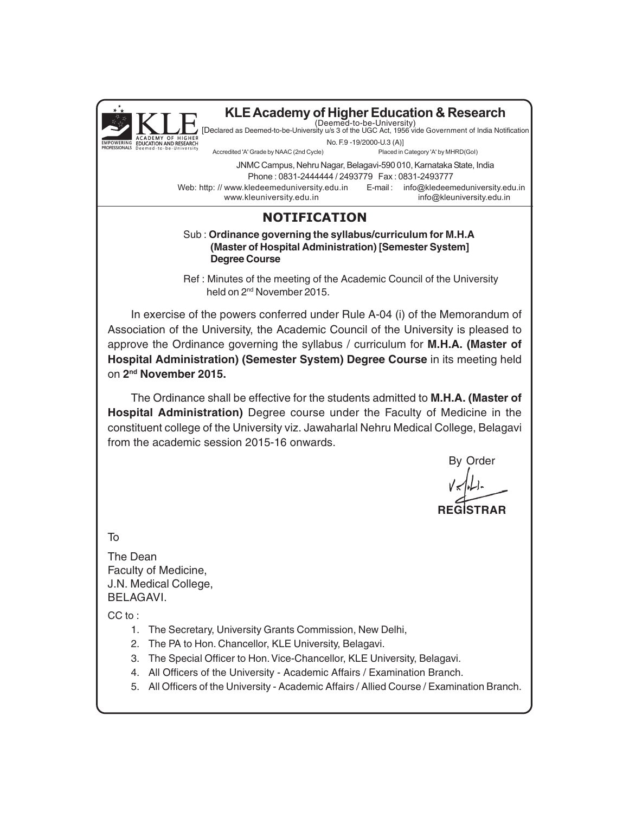

### **NOTIFICATION**

#### Sub : **Ordinance governing the syllabus/curriculum for M.H.A (Master of Hospital Administration) [Semester System] Degree Course**

Ref : Minutes of the meeting of the Academic Council of the University held on 2nd November 2015.

In exercise of the powers conferred under Rule A-04 (i) of the Memorandum of Association of the University, the Academic Council of the University is pleased to approve the Ordinance governing the syllabus / curriculum for **M.H.A. (Master of Hospital Administration) (Semester System) Degree Course** in its meeting held on **2nd November 2015.**

The Ordinance shall be effective for the students admitted to **M.H.A. (Master of Hospital Administration)** Degree course under the Faculty of Medicine in the constituent college of the University viz. Jawaharlal Nehru Medical College, Belagavi from the academic session 2015-16 onwards.

By Order

**REGISTRAR**

To

The Dean Faculty of Medicine, J.N. Medical College, BELAGAVI.

CC to:

- 1. The Secretary, University Grants Commission, New Delhi,
- 2. The PA to Hon. Chancellor, KLE University, Belagavi.
- 3. The Special Officer to Hon. Vice-Chancellor, KLE University, Belagavi.
- 4. All Officers of the University Academic Affairs / Examination Branch.
- 5. All Officers of the University Academic Affairs / Allied Course / Examination Branch.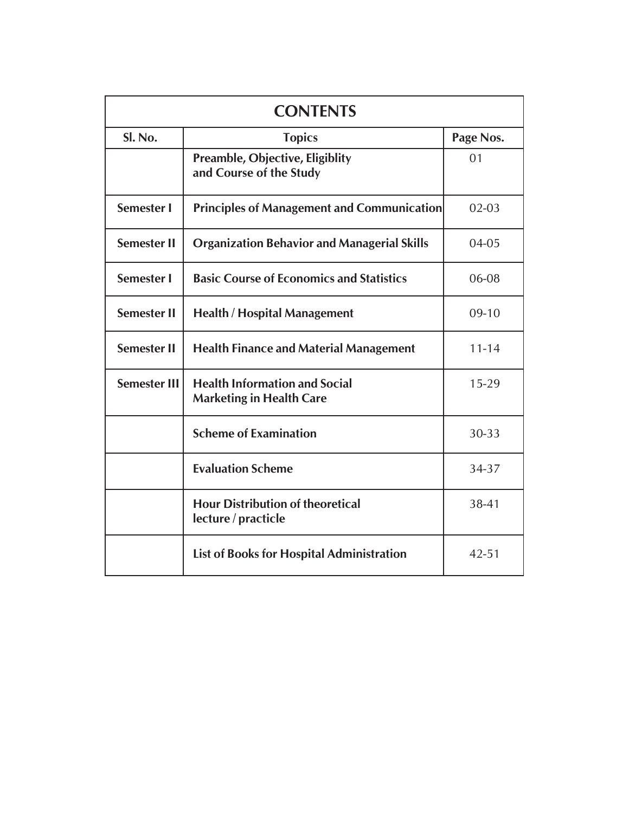| <b>CONTENTS</b>     |                                                                         |           |
|---------------------|-------------------------------------------------------------------------|-----------|
| Sl. No.             | <b>Topics</b>                                                           | Page Nos. |
|                     | <b>Preamble, Objective, Eligiblity</b><br>and Course of the Study       | 01        |
| <b>Semester I</b>   | <b>Principles of Management and Communication</b>                       | $02 - 03$ |
| <b>Semester II</b>  | <b>Organization Behavior and Managerial Skills</b>                      | 04-05     |
| <b>Semester I</b>   | <b>Basic Course of Economics and Statistics</b>                         | 06-08     |
| <b>Semester II</b>  | <b>Health / Hospital Management</b>                                     | $09-10$   |
| <b>Semester II</b>  | <b>Health Finance and Material Management</b>                           | $11 - 14$ |
| <b>Semester III</b> | <b>Health Information and Social</b><br><b>Marketing in Health Care</b> | $15 - 29$ |
|                     | <b>Scheme of Examination</b>                                            | 30-33     |
|                     | <b>Evaluation Scheme</b>                                                | 34-37     |
|                     | <b>Hour Distribution of theoretical</b><br>lecture / practicle          | 38-41     |
|                     | <b>List of Books for Hospital Administration</b>                        | $42 - 51$ |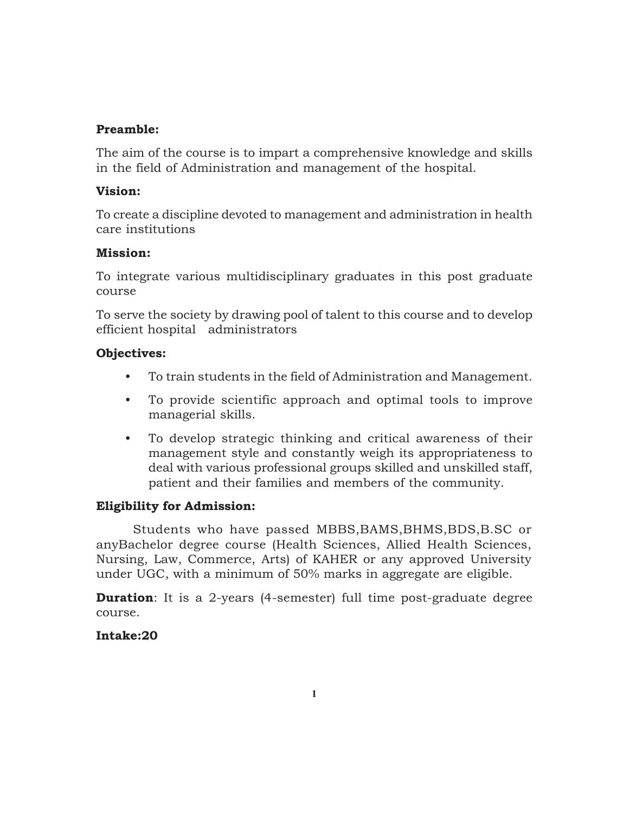### **Preamble:**

The aim of the course is to impart a comprehensive knowledge and skills in the field of Administration and management of the hospital.

### **Vision:**

To create a discipline devoted to management and administration in health care institutions

### **Mission:**

To integrate various multidisciplinary graduates in this post graduate course

To serve the society by drawing pool of talent to this course and to develop efficient hospital administrators

### **Objectives:**

- To train students in the field of Administration and Management.
- To provide scientific approach and optimal tools to improve managerial skills.
- To develop strategic thinking and critical awareness of their management style and constantly weigh its appropriateness to deal with various professional groups skilled and unskilled staff, patient and their families and members of the community.

## **Eligibility for Admission:**

Students who have passed MBBS,BAMS,BHMS,BDS,B.SC or anyBachelor degree course (Health Sciences, Allied Health Sciences, Nursing, Law, Commerce, Arts) of KAHER or any approved University under UGC, with a minimum of 50% marks in aggregate are eligible.

**Duration**: It is a 2-years (4-semester) full time post-graduate degree course.

## **Intake:20**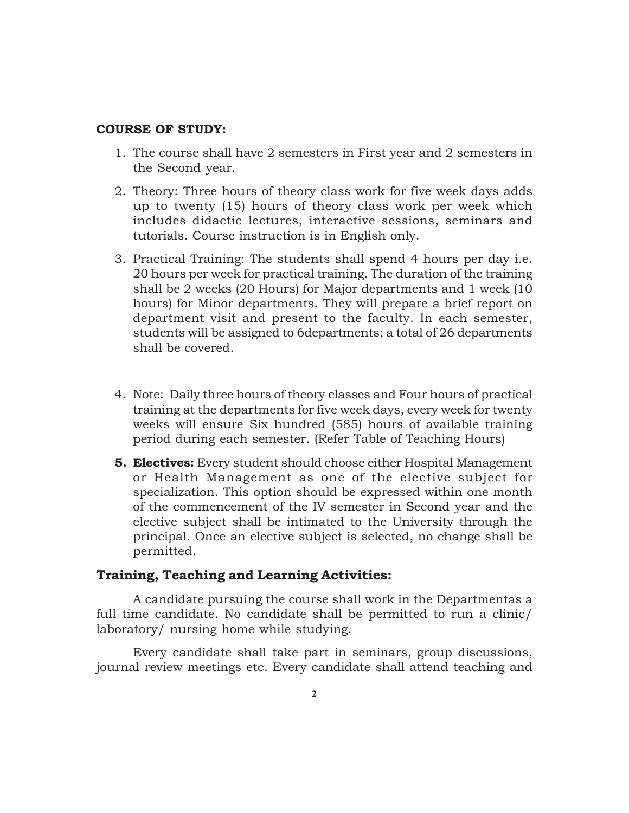#### **COURSE OF STUDY:**

- 1. The course shall have 2 semesters in First year and 2 semesters in the Second year.
- 2. Theory: Three hours of theory class work for five week days adds up to twenty (15) hours of theory class work per week which includes didactic lectures, interactive sessions, seminars and tutorials. Course instruction is in English only.
- 3. Practical Training: The students shall spend 4 hours per day i.e. 20 hours per week for practical training. The duration of the training shall be 2 weeks (20 Hours) for Major departments and 1 week (10 hours) for Minor departments. They will prepare a brief report on department visit and present to the faculty. In each semester, students will be assigned to 6departments; a total of 26 departments shall be covered.
- 4. Note: Daily three hours of theory classes and Four hours of practical training at the departments for five week days, every week for twenty weeks will ensure Six hundred (585) hours of available training period during each semester. (Refer Table of Teaching Hours)
- **5. Electives:** Every student should choose either Hospital Management or Health Management as one of the elective subject for specialization. This option should be expressed within one month of the commencement of the IV semester in Second year and the elective subject shall be intimated to the University through the principal. Once an elective subject is selected, no change shall be permitted.

#### **Training, Teaching and Learning Activities:**

A candidate pursuing the course shall work in the Departmentas a full time candidate. No candidate shall be permitted to run a clinic/ laboratory/ nursing home while studying.

Every candidate shall take part in seminars, group discussions, journal review meetings etc. Every candidate shall attend teaching and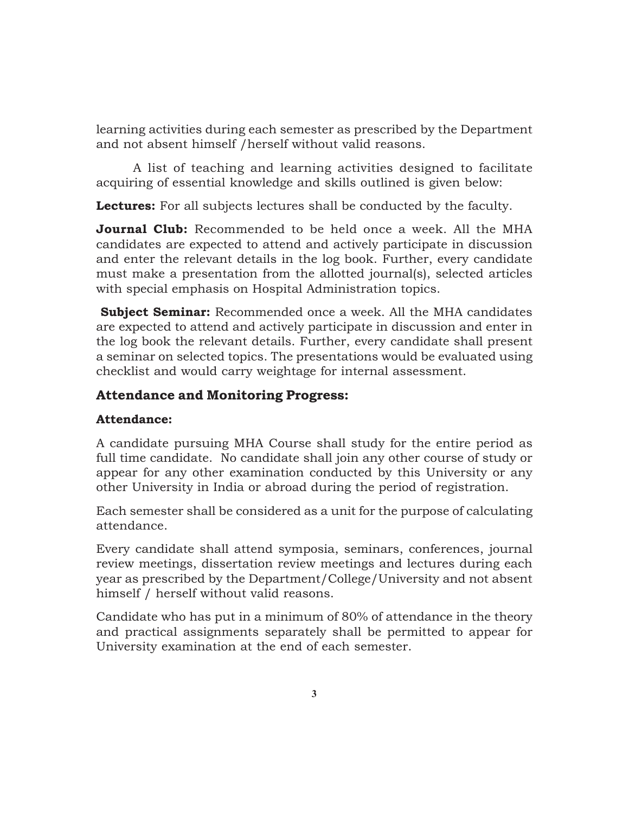learning activities during each semester as prescribed by the Department and not absent himself /herself without valid reasons.

A list of teaching and learning activities designed to facilitate acquiring of essential knowledge and skills outlined is given below:

**Lectures:** For all subjects lectures shall be conducted by the faculty.

**Journal Club:** Recommended to be held once a week. All the MHA candidates are expected to attend and actively participate in discussion and enter the relevant details in the log book. Further, every candidate must make a presentation from the allotted journal(s), selected articles with special emphasis on Hospital Administration topics.

 **Subject Seminar:** Recommended once a week. All the MHA candidates are expected to attend and actively participate in discussion and enter in the log book the relevant details. Further, every candidate shall present a seminar on selected topics. The presentations would be evaluated using checklist and would carry weightage for internal assessment.

## **Attendance and Monitoring Progress:**

### **Attendance:**

A candidate pursuing MHA Course shall study for the entire period as full time candidate. No candidate shall join any other course of study or appear for any other examination conducted by this University or any other University in India or abroad during the period of registration.

Each semester shall be considered as a unit for the purpose of calculating attendance.

Every candidate shall attend symposia, seminars, conferences, journal review meetings, dissertation review meetings and lectures during each year as prescribed by the Department/College/University and not absent himself / herself without valid reasons.

Candidate who has put in a minimum of 80% of attendance in the theory and practical assignments separately shall be permitted to appear for University examination at the end of each semester.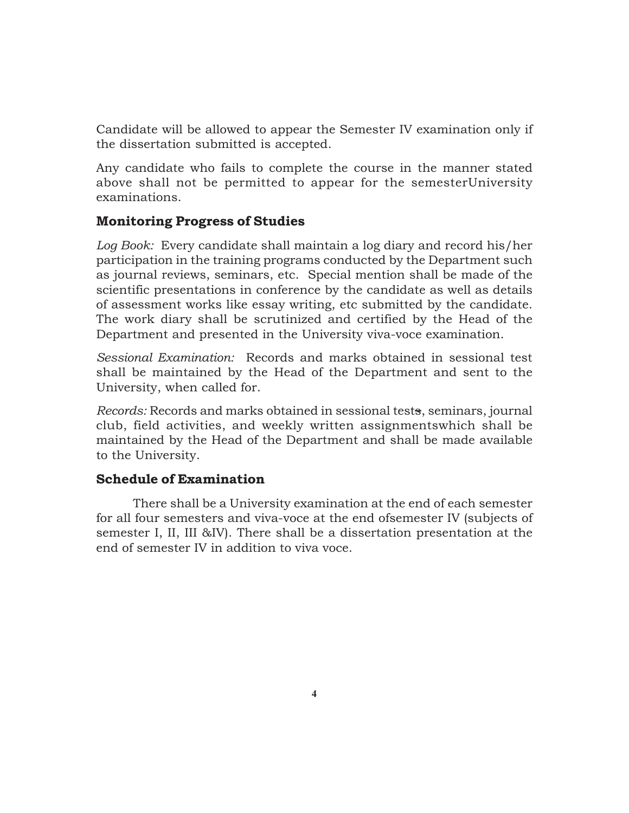Candidate will be allowed to appear the Semester IV examination only if the dissertation submitted is accepted.

Any candidate who fails to complete the course in the manner stated above shall not be permitted to appear for the semesterUniversity examinations.

### **Monitoring Progress of Studies**

*Log Book:* Every candidate shall maintain a log diary and record his/her participation in the training programs conducted by the Department such as journal reviews, seminars, etc. Special mention shall be made of the scientific presentations in conference by the candidate as well as details of assessment works like essay writing, etc submitted by the candidate. The work diary shall be scrutinized and certified by the Head of the Department and presented in the University viva-voce examination.

*Sessional Examination:* Records and marks obtained in sessional test shall be maintained by the Head of the Department and sent to the University, when called for.

*Records:* Records and marks obtained in sessional tests, seminars, journal club, field activities, and weekly written assignmentswhich shall be maintained by the Head of the Department and shall be made available to the University.

### **Schedule of Examination**

There shall be a University examination at the end of each semester for all four semesters and viva-voce at the end ofsemester IV (subjects of semester I, II, III &IV). There shall be a dissertation presentation at the end of semester IV in addition to viva voce.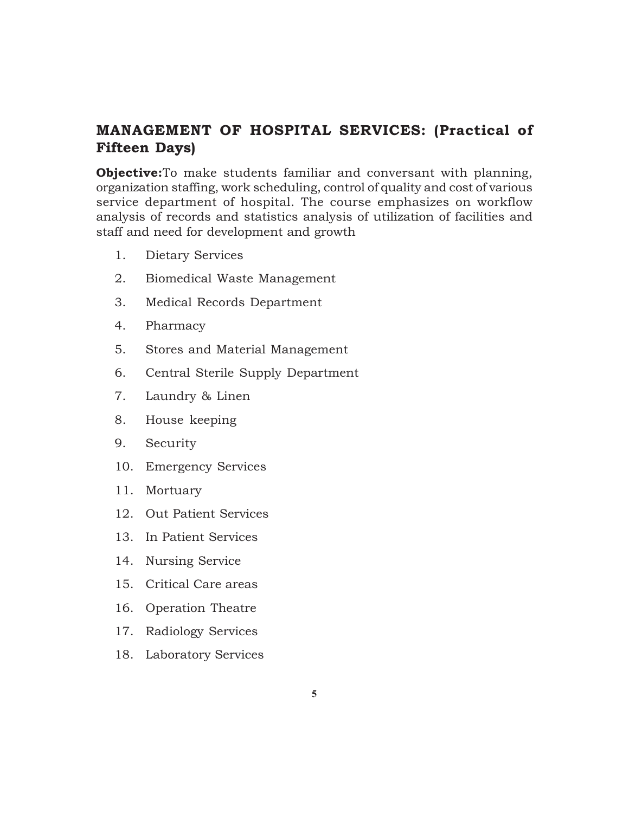## **MANAGEMENT OF HOSPITAL SERVICES: (Practical of Fifteen Days)**

**Objective:**To make students familiar and conversant with planning, organization staffing, work scheduling, control of quality and cost of various service department of hospital. The course emphasizes on workflow analysis of records and statistics analysis of utilization of facilities and staff and need for development and growth

- 1. Dietary Services
- 2. Biomedical Waste Management
- 3. Medical Records Department
- 4. Pharmacy
- 5. Stores and Material Management
- 6. Central Sterile Supply Department
- 7. Laundry & Linen
- 8. House keeping
- 9. Security
- 10. Emergency Services
- 11. Mortuary
- 12. Out Patient Services
- 13. In Patient Services
- 14. Nursing Service
- 15. Critical Care areas
- 16. Operation Theatre
- 17. Radiology Services
- 18. Laboratory Services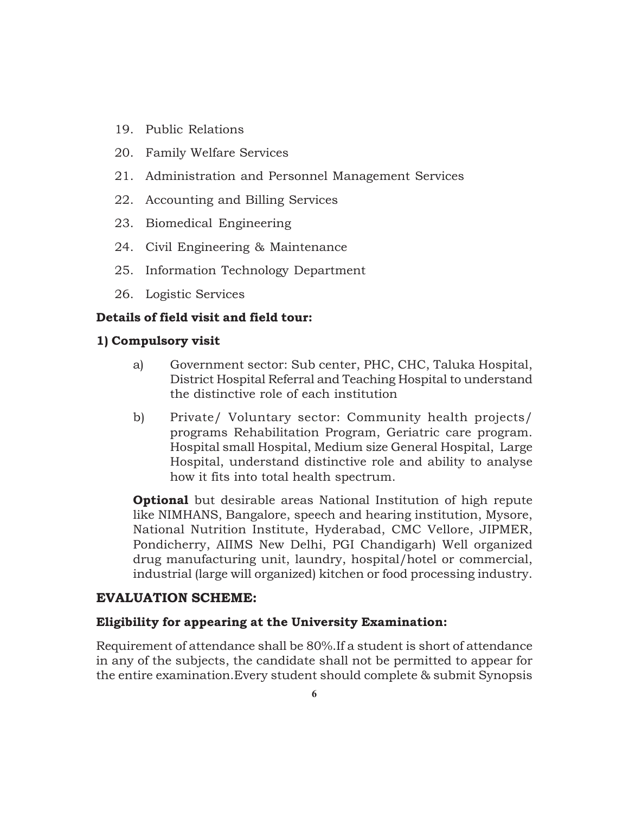- 19. Public Relations
- 20. Family Welfare Services
- 21. Administration and Personnel Management Services
- 22. Accounting and Billing Services
- 23. Biomedical Engineering
- 24. Civil Engineering & Maintenance
- 25. Information Technology Department
- 26. Logistic Services

#### **Details of field visit and field tour:**

#### **1) Compulsory visit**

- a) Government sector: Sub center, PHC, CHC, Taluka Hospital, District Hospital Referral and Teaching Hospital to understand the distinctive role of each institution
- b) Private/ Voluntary sector: Community health projects/ programs Rehabilitation Program, Geriatric care program. Hospital small Hospital, Medium size General Hospital, Large Hospital, understand distinctive role and ability to analyse how it fits into total health spectrum.

**Optional** but desirable areas National Institution of high repute like NIMHANS, Bangalore, speech and hearing institution, Mysore, National Nutrition Institute, Hyderabad, CMC Vellore, JIPMER, Pondicherry, AIIMS New Delhi, PGI Chandigarh) Well organized drug manufacturing unit, laundry, hospital/hotel or commercial, industrial (large will organized) kitchen or food processing industry.

#### **EVALUATION SCHEME:**

#### **Eligibility for appearing at the University Examination:**

Requirement of attendance shall be 80%.If a student is short of attendance in any of the subjects, the candidate shall not be permitted to appear for the entire examination.Every student should complete & submit Synopsis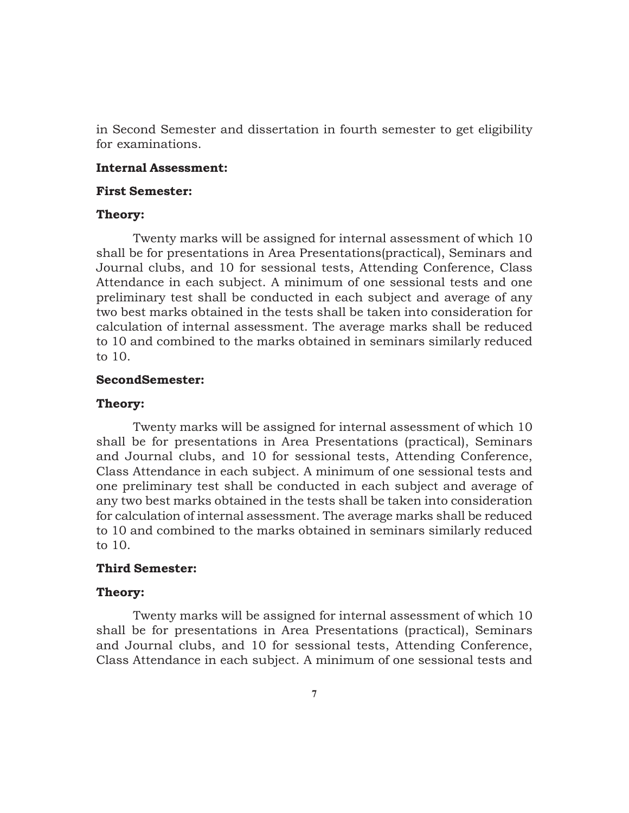in Second Semester and dissertation in fourth semester to get eligibility for examinations.

#### **Internal Assessment:**

#### **First Semester:**

#### **Theory:**

Twenty marks will be assigned for internal assessment of which 10 shall be for presentations in Area Presentations(practical), Seminars and Journal clubs, and 10 for sessional tests, Attending Conference, Class Attendance in each subject. A minimum of one sessional tests and one preliminary test shall be conducted in each subject and average of any two best marks obtained in the tests shall be taken into consideration for calculation of internal assessment. The average marks shall be reduced to 10 and combined to the marks obtained in seminars similarly reduced to 10.

#### **SecondSemester:**

#### **Theory:**

Twenty marks will be assigned for internal assessment of which 10 shall be for presentations in Area Presentations (practical), Seminars and Journal clubs, and 10 for sessional tests, Attending Conference, Class Attendance in each subject. A minimum of one sessional tests and one preliminary test shall be conducted in each subject and average of any two best marks obtained in the tests shall be taken into consideration for calculation of internal assessment. The average marks shall be reduced to 10 and combined to the marks obtained in seminars similarly reduced to 10.

#### **Third Semester:**

#### **Theory:**

Twenty marks will be assigned for internal assessment of which 10 shall be for presentations in Area Presentations (practical), Seminars and Journal clubs, and 10 for sessional tests, Attending Conference, Class Attendance in each subject. A minimum of one sessional tests and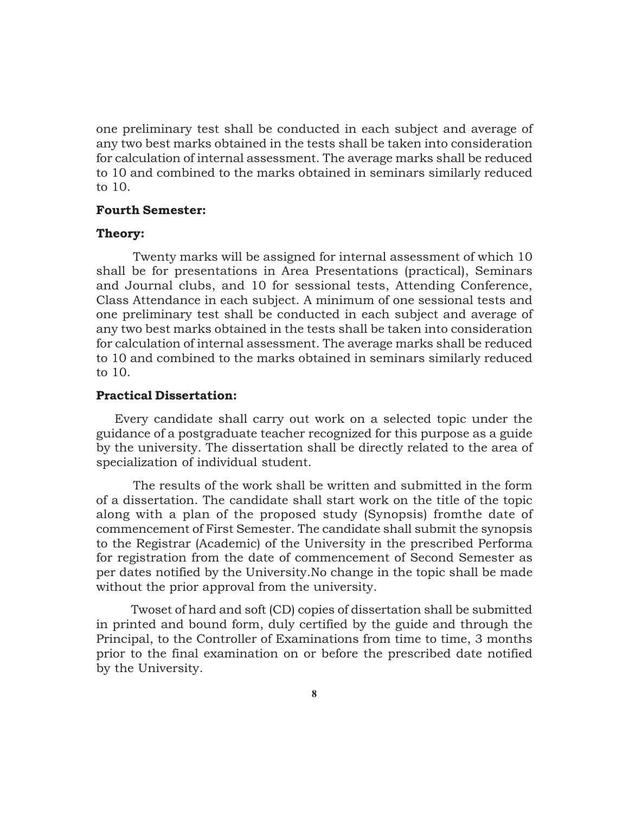one preliminary test shall be conducted in each subject and average of any two best marks obtained in the tests shall be taken into consideration for calculation of internal assessment. The average marks shall be reduced to 10 and combined to the marks obtained in seminars similarly reduced to 10.

#### **Fourth Semester:**

#### **Theory:**

Twenty marks will be assigned for internal assessment of which 10 shall be for presentations in Area Presentations (practical), Seminars and Journal clubs, and 10 for sessional tests, Attending Conference, Class Attendance in each subject. A minimum of one sessional tests and one preliminary test shall be conducted in each subject and average of any two best marks obtained in the tests shall be taken into consideration for calculation of internal assessment. The average marks shall be reduced to 10 and combined to the marks obtained in seminars similarly reduced to 10.

#### **Practical Dissertation:**

Every candidate shall carry out work on a selected topic under the guidance of a postgraduate teacher recognized for this purpose as a guide by the university. The dissertation shall be directly related to the area of specialization of individual student.

The results of the work shall be written and submitted in the form of a dissertation. The candidate shall start work on the title of the topic along with a plan of the proposed study (Synopsis) fromthe date of commencement of First Semester. The candidate shall submit the synopsis to the Registrar (Academic) of the University in the prescribed Performa for registration from the date of commencement of Second Semester as per dates notified by the University.No change in the topic shall be made without the prior approval from the university.

Twoset of hard and soft (CD) copies of dissertation shall be submitted in printed and bound form, duly certified by the guide and through the Principal, to the Controller of Examinations from time to time, 3 months prior to the final examination on or before the prescribed date notified by the University.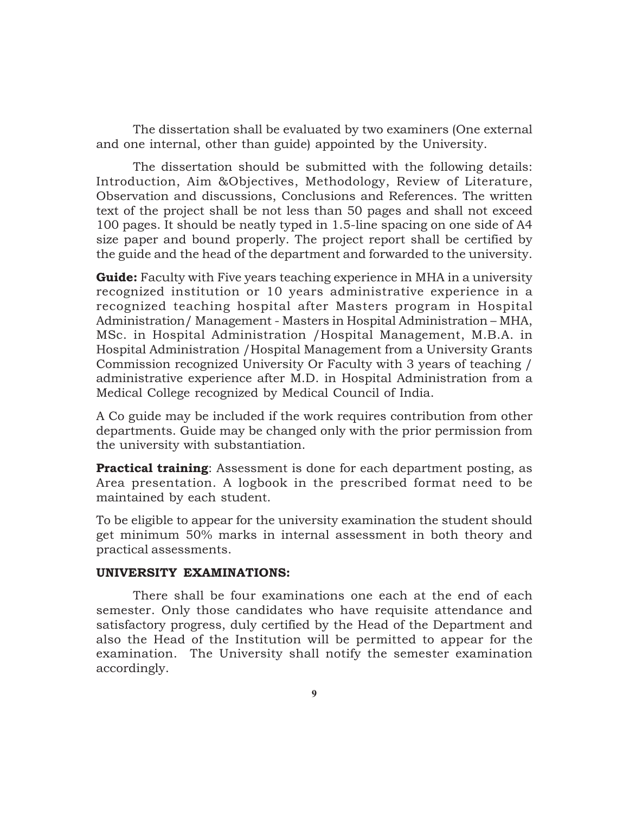The dissertation shall be evaluated by two examiners (One external and one internal, other than guide) appointed by the University.

The dissertation should be submitted with the following details: Introduction, Aim &Objectives, Methodology, Review of Literature, Observation and discussions, Conclusions and References. The written text of the project shall be not less than 50 pages and shall not exceed 100 pages. It should be neatly typed in 1.5-line spacing on one side of A4 size paper and bound properly. The project report shall be certified by the guide and the head of the department and forwarded to the university.

**Guide:** Faculty with Five years teaching experience in MHA in a university recognized institution or 10 years administrative experience in a recognized teaching hospital after Masters program in Hospital Administration/ Management - Masters in Hospital Administration – MHA, MSc. in Hospital Administration /Hospital Management, M.B.A. in Hospital Administration /Hospital Management from a University Grants Commission recognized University Or Faculty with 3 years of teaching / administrative experience after M.D. in Hospital Administration from a Medical College recognized by Medical Council of India.

A Co guide may be included if the work requires contribution from other departments. Guide may be changed only with the prior permission from the university with substantiation.

**Practical training**: Assessment is done for each department posting, as Area presentation. A logbook in the prescribed format need to be maintained by each student.

To be eligible to appear for the university examination the student should get minimum 50% marks in internal assessment in both theory and practical assessments.

#### **UNIVERSITY EXAMINATIONS:**

There shall be four examinations one each at the end of each semester. Only those candidates who have requisite attendance and satisfactory progress, duly certified by the Head of the Department and also the Head of the Institution will be permitted to appear for the examination. The University shall notify the semester examination accordingly.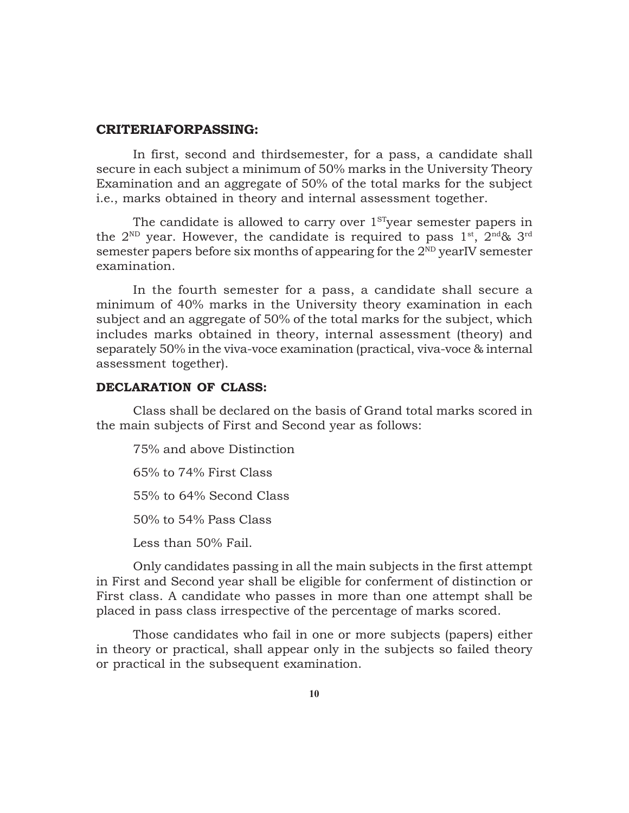#### **CRITERIAFORPASSING:**

In first, second and thirdsemester, for a pass, a candidate shall secure in each subject a minimum of 50% marks in the University Theory Examination and an aggregate of 50% of the total marks for the subject i.e., marks obtained in theory and internal assessment together.

The candidate is allowed to carry over 1<sup>st</sup>year semester papers in the  $2^{ND}$  year. However, the candidate is required to pass  $1^{st}$ ,  $2^{nd}\& 3^{rd}$ semester papers before six months of appearing for the  $2^{ND}$  yearIV semester examination.

In the fourth semester for a pass, a candidate shall secure a minimum of 40% marks in the University theory examination in each subject and an aggregate of 50% of the total marks for the subject, which includes marks obtained in theory, internal assessment (theory) and separately 50% in the viva-voce examination (practical, viva-voce & internal assessment together).

#### **DECLARATION OF CLASS:**

Class shall be declared on the basis of Grand total marks scored in the main subjects of First and Second year as follows:

75% and above Distinction 65% to 74% First Class 55% to 64% Second Class 50% to 54% Pass Class Less than 50% Fail.

Only candidates passing in all the main subjects in the first attempt in First and Second year shall be eligible for conferment of distinction or First class. A candidate who passes in more than one attempt shall be placed in pass class irrespective of the percentage of marks scored.

Those candidates who fail in one or more subjects (papers) either in theory or practical, shall appear only in the subjects so failed theory or practical in the subsequent examination.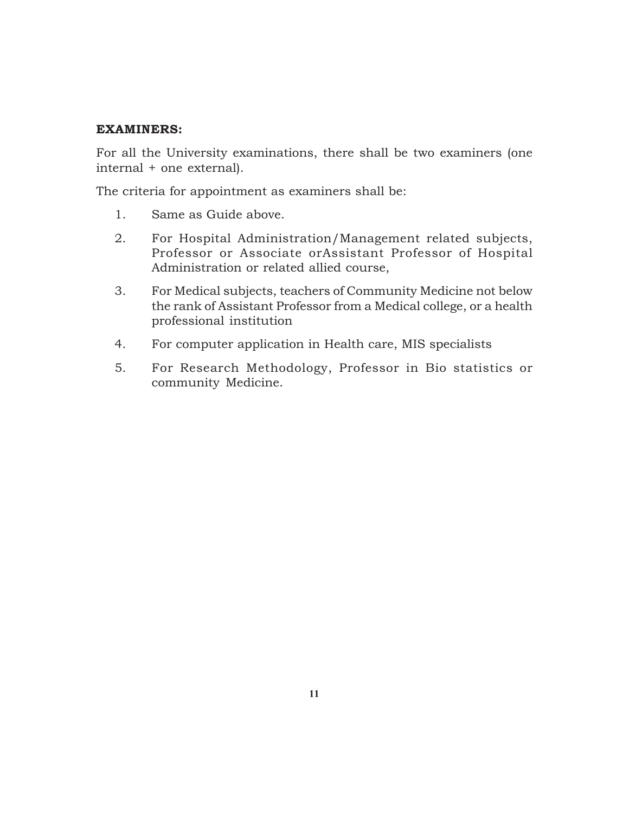#### **EXAMINERS:**

For all the University examinations, there shall be two examiners (one internal + one external).

The criteria for appointment as examiners shall be:

- 1. Same as Guide above.
- 2. For Hospital Administration/Management related subjects, Professor or Associate orAssistant Professor of Hospital Administration or related allied course,
- 3. For Medical subjects, teachers of Community Medicine not below the rank of Assistant Professor from a Medical college, or a health professional institution
- 4. For computer application in Health care, MIS specialists
- 5. For Research Methodology, Professor in Bio statistics or community Medicine.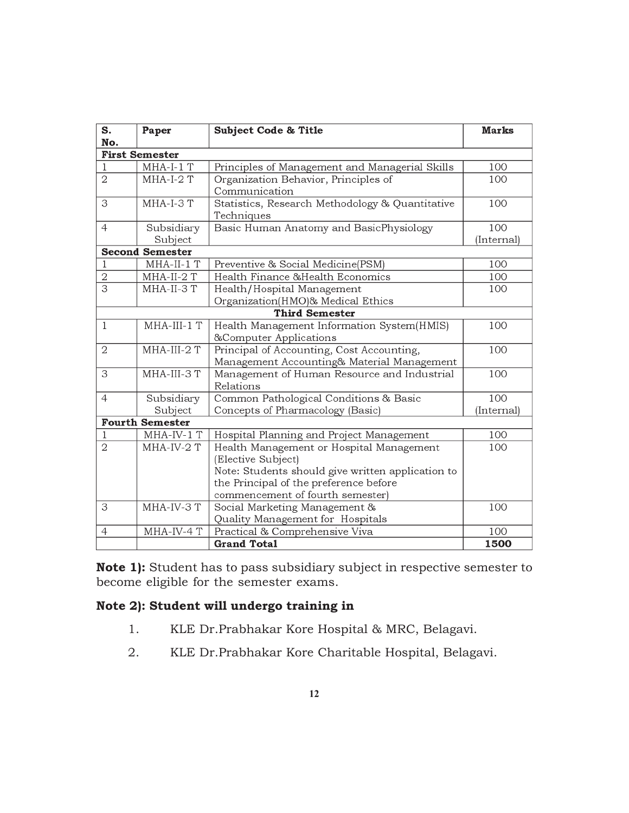| S.<br>No.      | Paper                  | <b>Subject Code &amp; Title</b>                                                                                                                                                                   | <b>Marks</b>      |
|----------------|------------------------|---------------------------------------------------------------------------------------------------------------------------------------------------------------------------------------------------|-------------------|
|                | <b>First Semester</b>  |                                                                                                                                                                                                   |                   |
| 1              | $MHA-I-1$ T            | Principles of Management and Managerial Skills                                                                                                                                                    | 100               |
| $\overline{2}$ | $MHA-I-2$ T            | Organization Behavior, Principles of<br>Communication                                                                                                                                             | 100               |
| 3              | MHA-I-3T               | Statistics, Research Methodology & Quantitative<br>Techniques                                                                                                                                     | 100               |
| $\overline{4}$ | Subsidiary<br>Subject  | Basic Human Anatomy and BasicPhysiology                                                                                                                                                           | 100<br>(Internal) |
|                | <b>Second Semester</b> |                                                                                                                                                                                                   |                   |
|                | MHA-II-1 T             | Preventive & Social Medicine(PSM)                                                                                                                                                                 | 100               |
| 2              | MHA-II-2 T             | Health Finance & Health Economics                                                                                                                                                                 | 100               |
| $\overline{3}$ | MHA-II-3 T             | Health/Hospital Management<br>Organization(HMO)& Medical Ethics                                                                                                                                   | 100               |
|                |                        | <b>Third Semester</b>                                                                                                                                                                             |                   |
| $\mathbf{1}$   | MHA-III-1 T            | Health Management Information System(HMIS)<br>&Computer Applications                                                                                                                              | 100               |
| $\mathbf{2}$   | MHA-III-2 T            | Principal of Accounting, Cost Accounting,<br>Management Accounting& Material Management                                                                                                           | 100               |
| 3              | MHA-III-3 T            | Management of Human Resource and Industrial<br>Relations                                                                                                                                          | 100               |
| $\overline{4}$ | Subsidiary<br>Subject  | Common Pathological Conditions & Basic<br>Concepts of Pharmacology (Basic)                                                                                                                        | 100<br>(Internal) |
|                | <b>Fourth Semester</b> |                                                                                                                                                                                                   |                   |
|                | $MHA$ -IV-1 $T$        | Hospital Planning and Project Management                                                                                                                                                          | 100               |
| $\overline{2}$ | MHA-IV-2 T             | Health Management or Hospital Management<br>(Elective Subject)<br>Note: Students should give written application to<br>the Principal of the preference before<br>commencement of fourth semester) | 100               |
| 3              | MHA-IV-3 T             | Social Marketing Management &<br>Quality Management for Hospitals                                                                                                                                 | 100               |
| $\overline{4}$ | MHA-IV-4 T             | Practical & Comprehensive Viva                                                                                                                                                                    | 100               |
|                |                        | <b>Grand Total</b>                                                                                                                                                                                | 1500              |

**Note 1):** Student has to pass subsidiary subject in respective semester to become eligible for the semester exams.

## **Note 2): Student will undergo training in**

- 1. KLE Dr.Prabhakar Kore Hospital & MRC, Belagavi.
- 2. KLE Dr.Prabhakar Kore Charitable Hospital, Belagavi.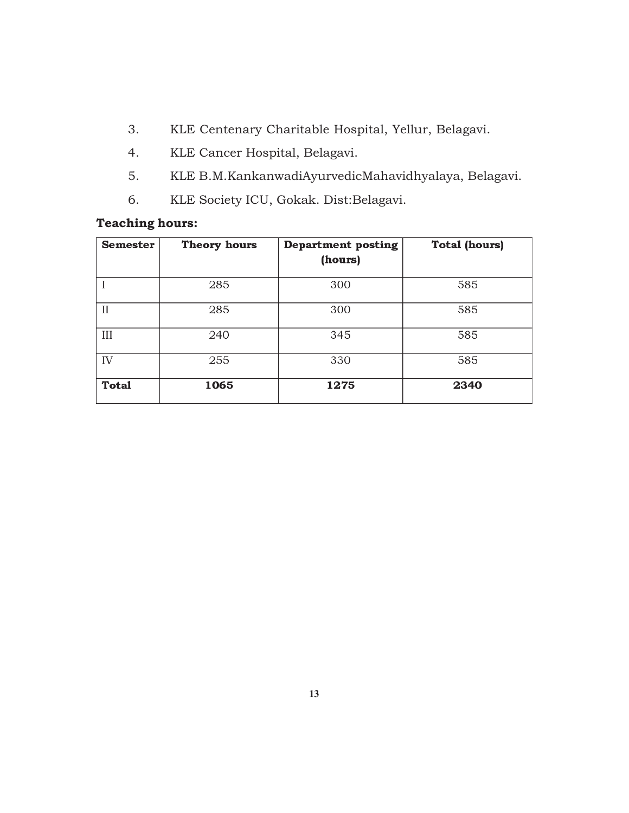- 3. KLE Centenary Charitable Hospital, Yellur, Belagavi.
- 4. KLE Cancer Hospital, Belagavi.
- 5. KLE B.M.KankanwadiAyurvedicMahavidhyalaya, Belagavi.
- 6. KLE Society ICU, Gokak. Dist:Belagavi.

## **Teaching hours:**

| <b>Semester</b> | <b>Theory hours</b> | <b>Department posting</b><br>(hours) | <b>Total (hours)</b> |
|-----------------|---------------------|--------------------------------------|----------------------|
|                 | 285                 | 300                                  | 585                  |
| $\mathbf{II}$   | 285                 | 300                                  | 585                  |
| III             | 240                 | 345                                  | 585                  |
| IV              | 255                 | 330                                  | 585                  |
| <b>Total</b>    | 1065                | 1275                                 | 2340                 |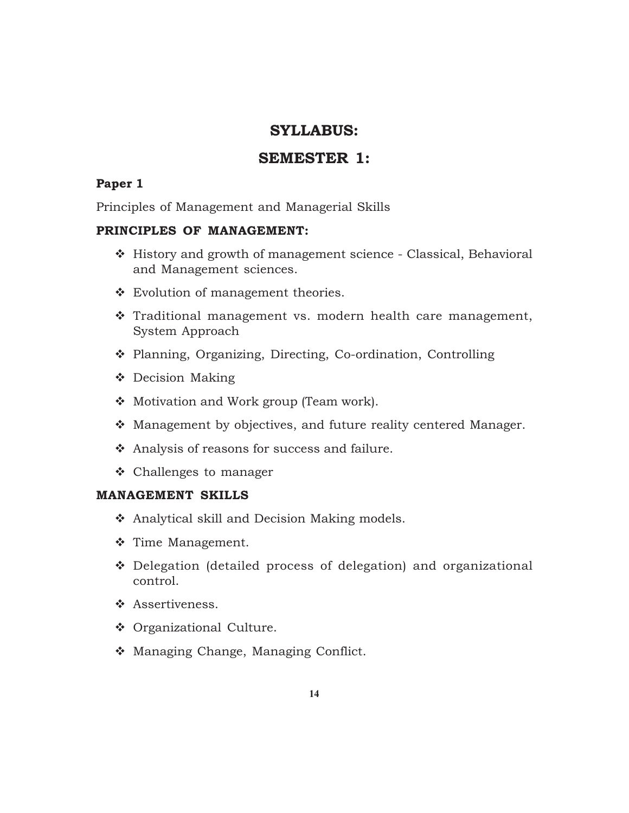## **SYLLABUS:**

## **SEMESTER 1:**

### **Paper 1**

Principles of Management and Managerial Skills

#### **PRINCIPLES OF MANAGEMENT:**

- History and growth of management science Classical, Behavioral and Management sciences.
- Evolution of management theories.
- \* Traditional management vs. modern health care management, System Approach
- Planning, Organizing, Directing, Co-ordination, Controlling
- ❖ Decision Making
- ❖ Motivation and Work group (Team work).
- Management by objectives, and future reality centered Manager.
- Analysis of reasons for success and failure.
- Challenges to manager

#### **MANAGEMENT SKILLS**

- ❖ Analytical skill and Decision Making models.
- $\div$  Time Management.
- Delegation (detailed process of delegation) and organizational control.
- ❖ Assertiveness.
- ◆ Organizational Culture.
- Managing Change, Managing Conflict.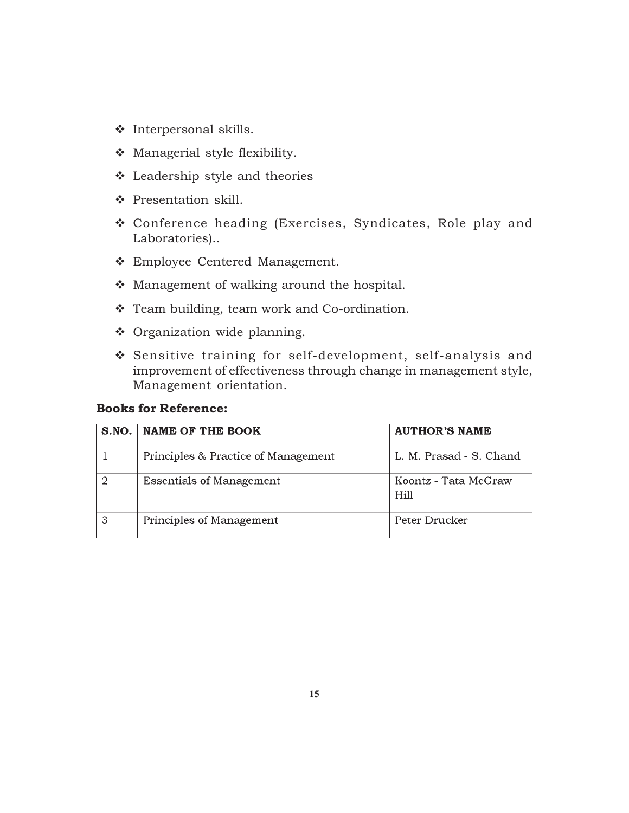- Interpersonal skills.
- Managerial style flexibility.
- Leadership style and theories
- Presentation skill.
- Conference heading (Exercises, Syndicates, Role play and Laboratories)..
- Employee Centered Management.
- Management of walking around the hospital.
- \* Team building, team work and Co-ordination.
- Organization wide planning.
- Sensitive training for self-development, self-analysis and improvement of effectiveness through change in management style, Management orientation.

#### **Books for Reference:**

| S.NO.   NAME OF THE BOOK            | <b>AUTHOR'S NAME</b>         |
|-------------------------------------|------------------------------|
| Principles & Practice of Management | L. M. Prasad - S. Chand      |
| <b>Essentials of Management</b>     | Koontz - Tata McGraw<br>Hill |
| Principles of Management            | Peter Drucker                |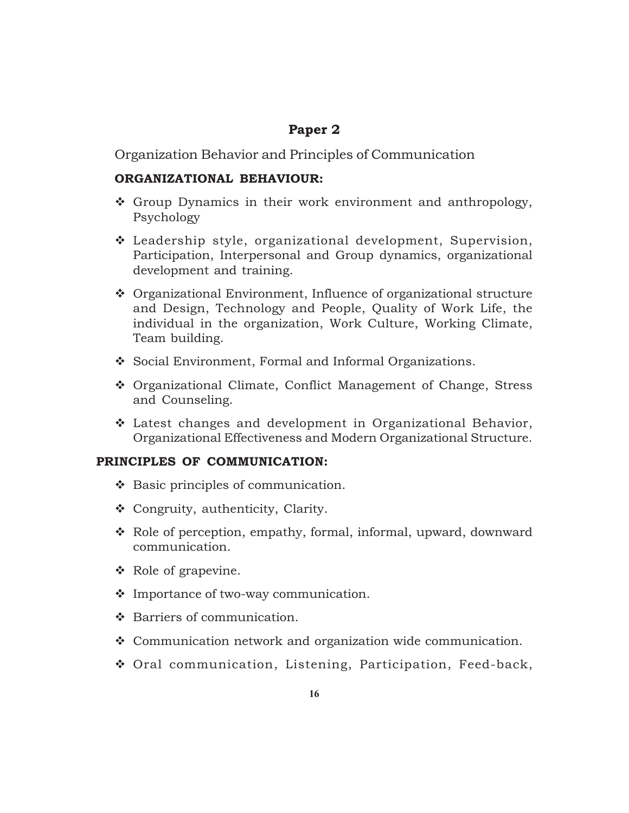## **Paper 2**

Organization Behavior and Principles of Communication

### **ORGANIZATIONAL BEHAVIOUR:**

- Group Dynamics in their work environment and anthropology, Psychology
- Leadership style, organizational development, Supervision, Participation, Interpersonal and Group dynamics, organizational development and training.
- Organizational Environment, Influence of organizational structure and Design, Technology and People, Quality of Work Life, the individual in the organization, Work Culture, Working Climate, Team building.
- Social Environment, Formal and Informal Organizations.
- Organizational Climate, Conflict Management of Change, Stress and Counseling.
- Latest changes and development in Organizational Behavior, Organizational Effectiveness and Modern Organizational Structure.

### **PRINCIPLES OF COMMUNICATION:**

- ❖ Basic principles of communication.
- Congruity, authenticity, Clarity.
- Role of perception, empathy, formal, informal, upward, downward communication.
- Role of grapevine.
- Importance of two-way communication.
- ❖ Barriers of communication.
- Communication network and organization wide communication.
- Oral communication, Listening, Participation, Feed-back,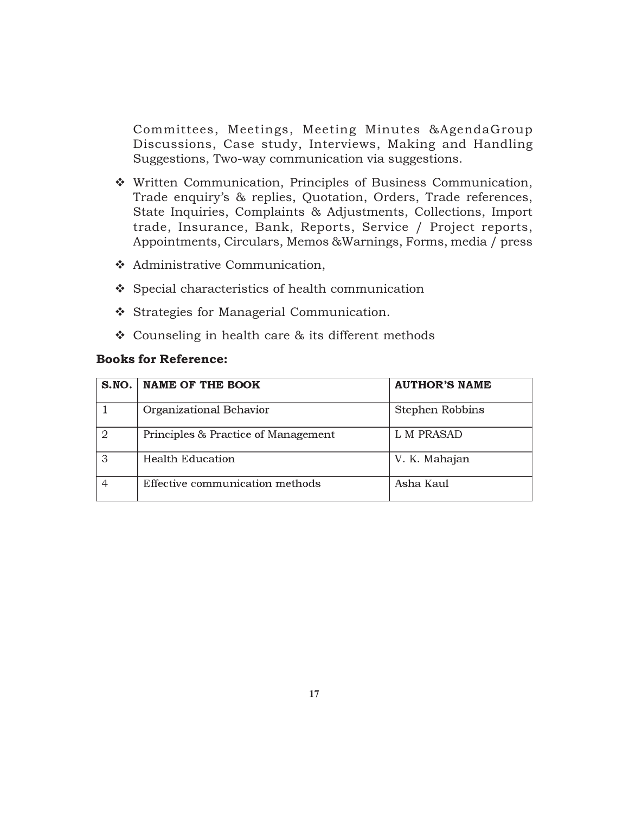Committees, Meetings, Meeting Minutes &AgendaGroup Discussions, Case study, Interviews, Making and Handling Suggestions, Two-way communication via suggestions.

- Written Communication, Principles of Business Communication, Trade enquiry's & replies, Quotation, Orders, Trade references, State Inquiries, Complaints & Adjustments, Collections, Import trade, Insurance, Bank, Reports, Service / Project reports, Appointments, Circulars, Memos &Warnings, Forms, media / press
- Administrative Communication,
- $\div$  Special characteristics of health communication
- Strategies for Managerial Communication.
- $\div$  Counseling in health care & its different methods

#### **Books for Reference:**

|   | S.NO.   NAME OF THE BOOK            | <b>AUTHOR'S NAME</b> |
|---|-------------------------------------|----------------------|
|   | Organizational Behavior             | Stephen Robbins      |
| 2 | Principles & Practice of Management | L M PRASAD           |
| ঽ | <b>Health Education</b>             | V. K. Mahajan        |
|   | Effective communication methods     | Asha Kaul            |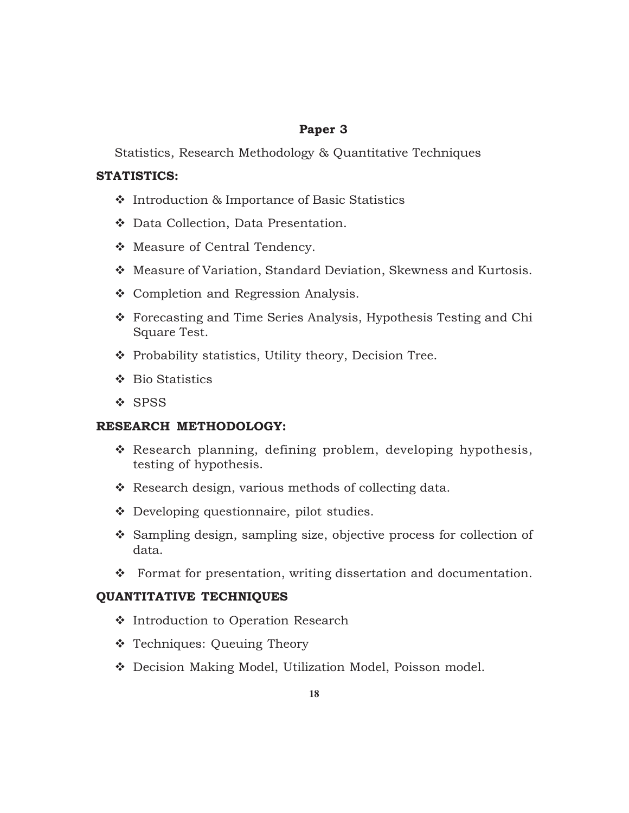### **Paper 3**

Statistics, Research Methodology & Quantitative Techniques

### **STATISTICS:**

- ❖ Introduction & Importance of Basic Statistics
- Data Collection, Data Presentation.
- ◆ Measure of Central Tendency.
- Measure of Variation, Standard Deviation, Skewness and Kurtosis.
- ❖ Completion and Regression Analysis.
- Forecasting and Time Series Analysis, Hypothesis Testing and Chi Square Test.
- $\cdot \cdot$  Probability statistics, Utility theory, Decision Tree.
- ❖ Bio Statistics
- ❖ SPSS

## **RESEARCH METHODOLOGY:**

- Research planning, defining problem, developing hypothesis, testing of hypothesis.
- \* Research design, various methods of collecting data.
- ◆ Developing questionnaire, pilot studies.
- Sampling design, sampling size, objective process for collection of data.
- \* Format for presentation, writing dissertation and documentation.

### **QUANTITATIVE TECHNIQUES**

- ❖ Introduction to Operation Research
- \* Techniques: Queuing Theory
- Decision Making Model, Utilization Model, Poisson model.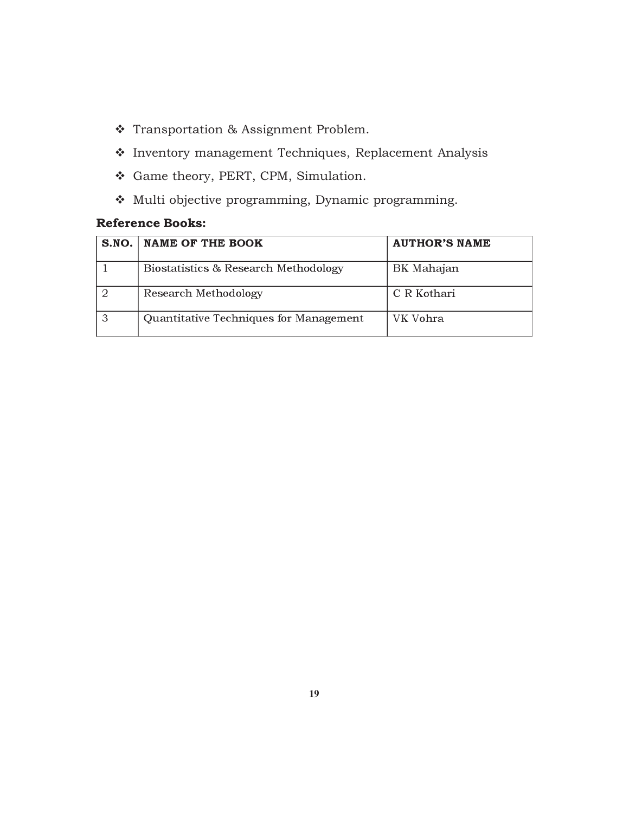- Transportation & Assignment Problem.
- Inventory management Techniques, Replacement Analysis
- Game theory, PERT, CPM, Simulation.
- Multi objective programming, Dynamic programming.

## **Reference Books:**

| S.NO.   NAME OF THE BOOK               | <b>AUTHOR'S NAME</b> |
|----------------------------------------|----------------------|
| Biostatistics & Research Methodology   | BK Mahajan           |
| Research Methodology                   | C R Kothari          |
| Quantitative Techniques for Management | VK Vohra             |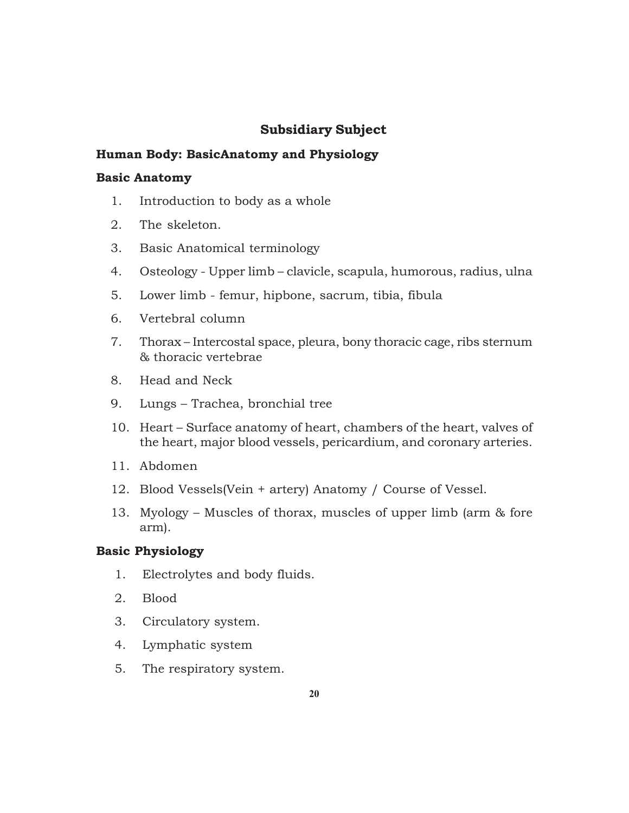## **Subsidiary Subject**

### **Human Body: BasicAnatomy and Physiology**

### **Basic Anatomy**

- 1. Introduction to body as a whole
- 2. The skeleton.
- 3. Basic Anatomical terminology
- 4. Osteology Upper limb clavicle, scapula, humorous, radius, ulna
- 5. Lower limb femur, hipbone, sacrum, tibia, fibula
- 6. Vertebral column
- 7. Thorax Intercostal space, pleura, bony thoracic cage, ribs sternum & thoracic vertebrae
- 8. Head and Neck
- 9. Lungs Trachea, bronchial tree
- 10. Heart Surface anatomy of heart, chambers of the heart, valves of the heart, major blood vessels, pericardium, and coronary arteries.
- 11. Abdomen
- 12. Blood Vessels(Vein + artery) Anatomy / Course of Vessel.
- 13. Myology Muscles of thorax, muscles of upper limb (arm & fore arm).

### **Basic Physiology**

- 1. Electrolytes and body fluids.
- 2. Blood
- 3. Circulatory system.
- 4. Lymphatic system
- 5. The respiratory system.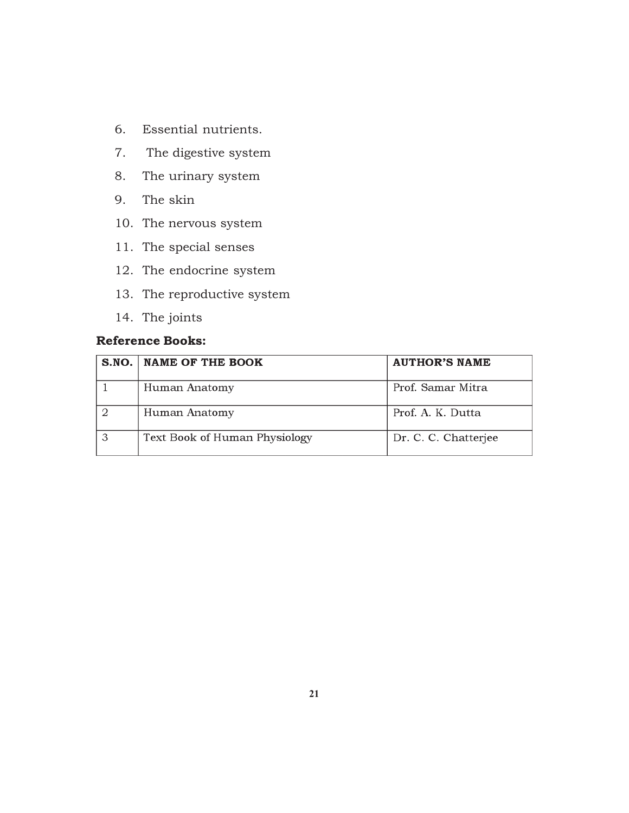- 6. Essential nutrients.
- 7. The digestive system
- 8. The urinary system
- 9. The skin
- 10. The nervous system
- 11. The special senses
- 12. The endocrine system
- 13. The reproductive system
- 14. The joints

## **Reference Books:**

| S.NO.   NAME OF THE BOOK      | <b>AUTHOR'S NAME</b> |
|-------------------------------|----------------------|
| Human Anatomy                 | Prof. Samar Mitra    |
| Human Anatomy                 | Prof. A. K. Dutta    |
| Text Book of Human Physiology | Dr. C. C. Chatterjee |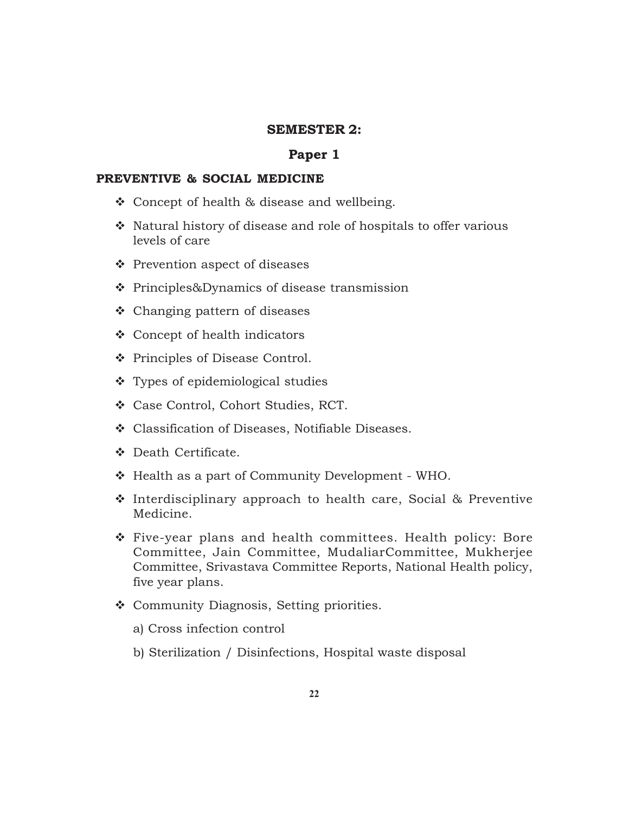#### **SEMESTER 2:**

#### **Paper 1**

#### **PREVENTIVE & SOCIAL MEDICINE**

- ❖ Concept of health & disease and wellbeing.
- $\cdot$  Natural history of disease and role of hospitals to offer various levels of care
- ❖ Prevention aspect of diseases
- Principles&Dynamics of disease transmission
- Changing pattern of diseases
- Concept of health indicators
- ❖ Principles of Disease Control.
- Types of epidemiological studies
- Case Control, Cohort Studies, RCT.
- Classification of Diseases, Notifiable Diseases.
- $\bullet$  Death Certificate.
- Health as a part of Community Development WHO.
- ◆ Interdisciplinary approach to health care, Social & Preventive Medicine.
- Five-year plans and health committees. Health policy: Bore Committee, Jain Committee, MudaliarCommittee, Mukherjee Committee, Srivastava Committee Reports, National Health policy, five year plans.
- Community Diagnosis, Setting priorities.
	- a) Cross infection control
	- b) Sterilization / Disinfections, Hospital waste disposal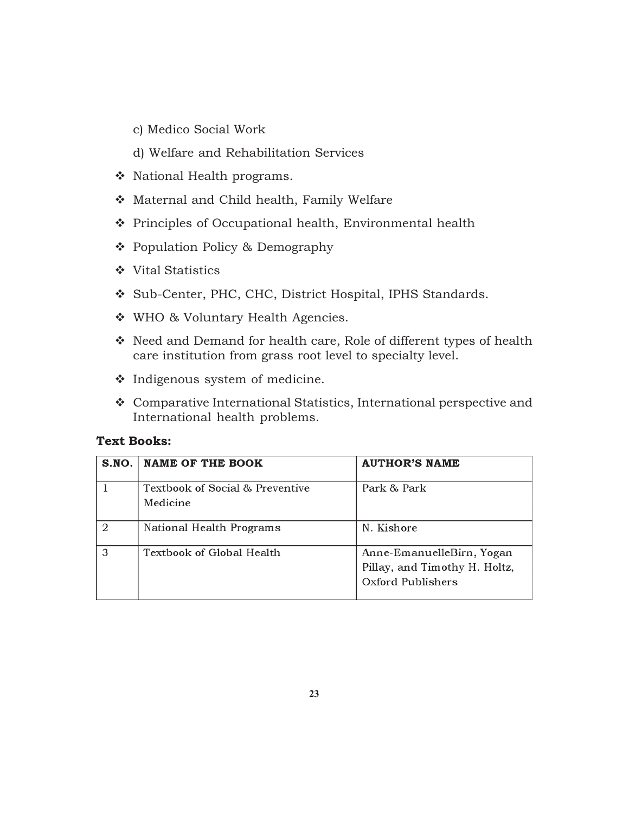- c) Medico Social Work
- d) Welfare and Rehabilitation Services
- ◆ National Health programs.
- Maternal and Child health, Family Welfare
- Principles of Occupational health, Environmental health
- Population Policy & Demography
- ❖ Vital Statistics
- Sub-Center, PHC, CHC, District Hospital, IPHS Standards.
- ◆ WHO & Voluntary Health Agencies.
- Need and Demand for health care, Role of different types of health care institution from grass root level to specialty level.
- Indigenous system of medicine.
- Comparative International Statistics, International perspective and International health problems.

#### **Text Books:**

| SNO.          | <b>NAME OF THE BOOK</b>                     | <b>AUTHOR'S NAME</b>                                                            |
|---------------|---------------------------------------------|---------------------------------------------------------------------------------|
|               | Textbook of Social & Preventive<br>Medicine | Park & Park                                                                     |
| $\mathcal{D}$ | National Health Programs                    | N. Kishore                                                                      |
| 3             | Textbook of Global Health                   | Anne-EmanuelleBirn, Yogan<br>Pillay, and Timothy H. Holtz,<br>Oxford Publishers |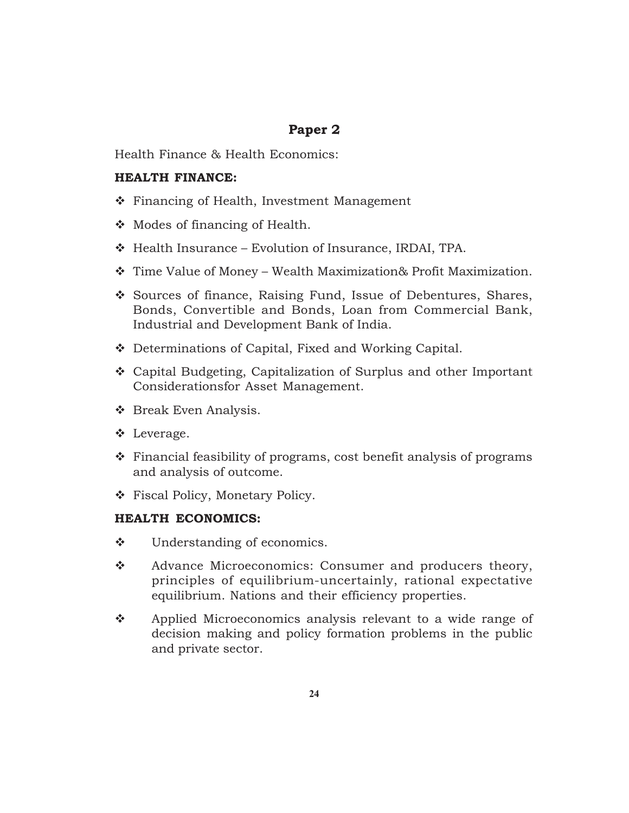## **Paper 2**

Health Finance & Health Economics:

#### **HEALTH FINANCE:**

- ❖ Financing of Health, Investment Management
- $\triangleleft$  Modes of financing of Health.
- Health Insurance Evolution of Insurance, IRDAI, TPA.
- Time Value of Money Wealth Maximization& Profit Maximization.
- Sources of finance, Raising Fund, Issue of Debentures, Shares, Bonds, Convertible and Bonds, Loan from Commercial Bank, Industrial and Development Bank of India.
- ◆ Determinations of Capital, Fixed and Working Capital.
- Capital Budgeting, Capitalization of Surplus and other Important Considerationsfor Asset Management.
- ❖ Break Even Analysis.
- Leverage.
- $\cdot$  Financial feasibility of programs, cost benefit analysis of programs and analysis of outcome.
- Fiscal Policy, Monetary Policy.

#### **HEALTH ECONOMICS:**

- Understanding of economics.
- \* Advance Microeconomics: Consumer and producers theory, principles of equilibrium-uncertainly, rational expectative equilibrium. Nations and their efficiency properties.
- ❖ Applied Microeconomics analysis relevant to a wide range of decision making and policy formation problems in the public and private sector.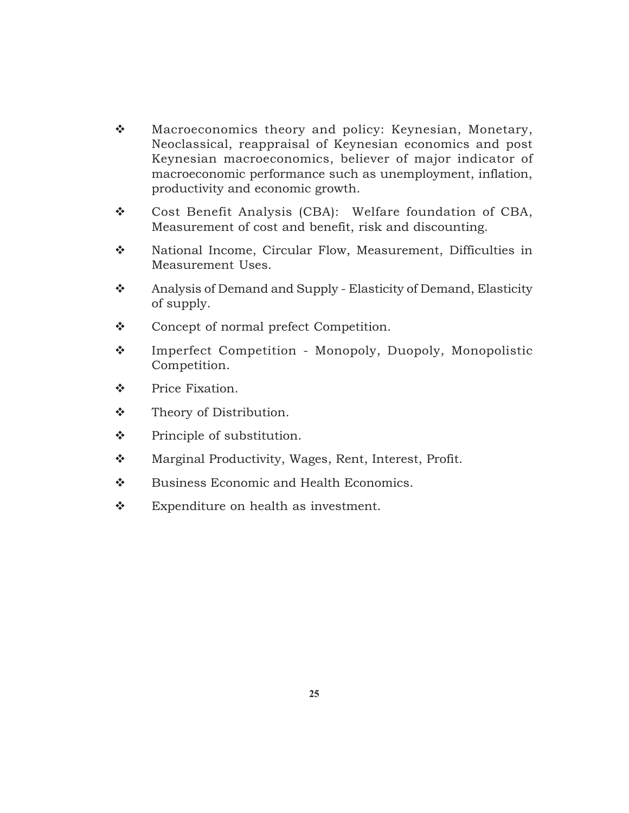- \* Macroeconomics theory and policy: Keynesian, Monetary, Neoclassical, reappraisal of Keynesian economics and post Keynesian macroeconomics, believer of major indicator of macroeconomic performance such as unemployment, inflation, productivity and economic growth.
- Cost Benefit Analysis (CBA): Welfare foundation of CBA, Measurement of cost and benefit, risk and discounting.
- \* National Income, Circular Flow, Measurement, Difficulties in Measurement Uses.
- \* Analysis of Demand and Supply Elasticity of Demand, Elasticity of supply.
- ❖ Concept of normal prefect Competition.
- Imperfect Competition Monopoly, Duopoly, Monopolistic Competition.
- Price Fixation.
- Theory of Distribution.
- ◆ Principle of substitution.
- Marginal Productivity, Wages, Rent, Interest, Profit.
- ❖ Business Economic and Health Economics.
- \* Expenditure on health as investment.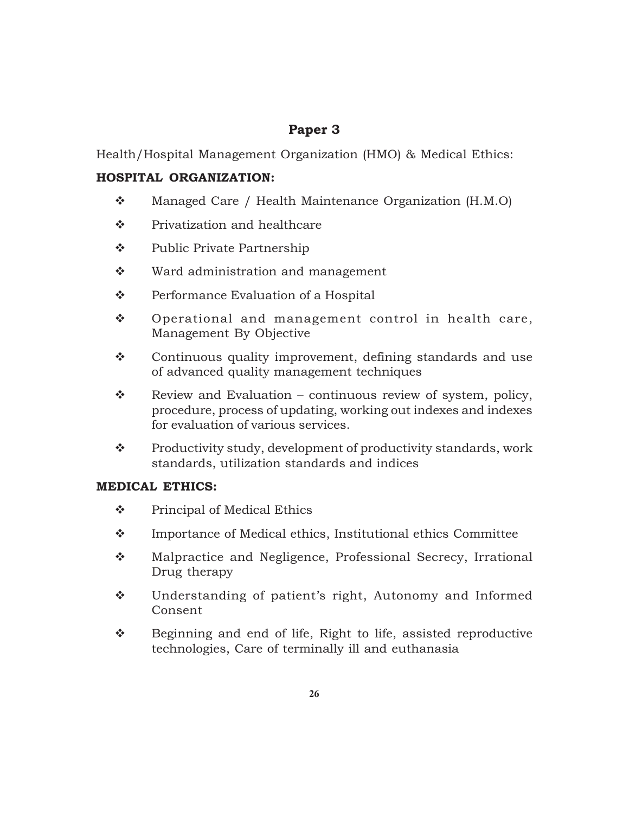## **Paper 3**

Health/Hospital Management Organization (HMO) & Medical Ethics:

### **HOSPITAL ORGANIZATION:**

- Managed Care / Health Maintenance Organization (H.M.O)
- Privatization and healthcare
- **\*** Public Private Partnership
- ❖ Ward administration and management
- Performance Evaluation of a Hospital
- ◆ Operational and management control in health care, Management By Objective
- \* Continuous quality improvement, defining standards and use of advanced quality management techniques
- $\mathbf{\hat{P}}$  Review and Evaluation continuous review of system, policy, procedure, process of updating, working out indexes and indexes for evaluation of various services.
- \* Productivity study, development of productivity standards, work standards, utilization standards and indices

### **MEDICAL ETHICS:**

- $\div$  Principal of Medical Ethics
- $\triangle$  Importance of Medical ethics, Institutional ethics Committee
- $\lozenge$  Malpractice and Negligence, Professional Secrecy, Irrational Drug therapy
- Understanding of patient's right, Autonomy and Informed Consent
- Beginning and end of life, Right to life, assisted reproductive technologies, Care of terminally ill and euthanasia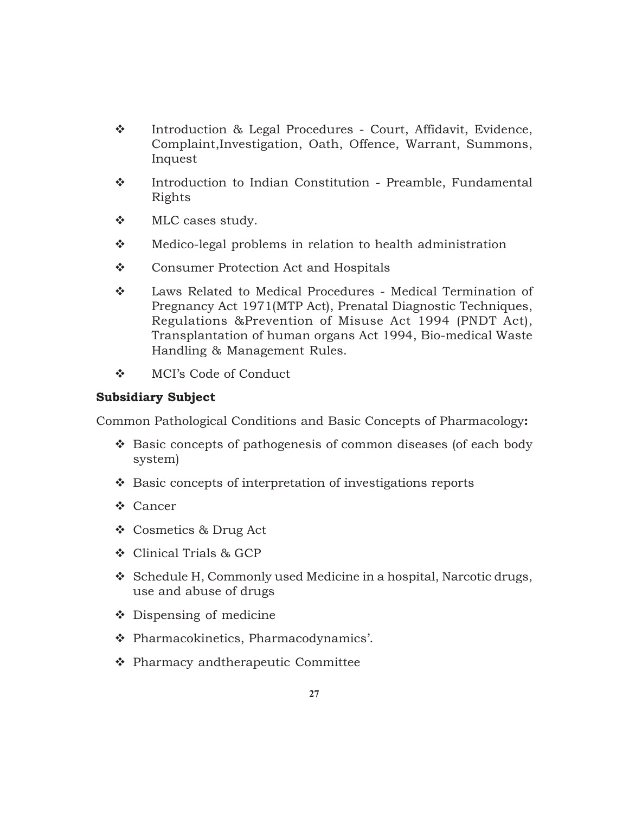- \* Introduction & Legal Procedures Court, Affidavit, Evidence, Complaint,Investigation, Oath, Offence, Warrant, Summons, Inquest
- \* Introduction to Indian Constitution Preamble, Fundamental Rights
- MLC cases study.
- ◆ Medico-legal problems in relation to health administration
- Consumer Protection Act and Hospitals
- Laws Related to Medical Procedures Medical Termination of Pregnancy Act 1971(MTP Act), Prenatal Diagnostic Techniques, Regulations &Prevention of Misuse Act 1994 (PNDT Act), Transplantation of human organs Act 1994, Bio-medical Waste Handling & Management Rules.
- MCI's Code of Conduct

### **Subsidiary Subject**

Common Pathological Conditions and Basic Concepts of Pharmacology**:**

- ◆ Basic concepts of pathogenesis of common diseases (of each body system)
- ❖ Basic concepts of interpretation of investigations reports
- Cancer
- Cosmetics & Drug Act
- Clinical Trials & GCP
- Schedule H, Commonly used Medicine in a hospital, Narcotic drugs, use and abuse of drugs
- Dispensing of medicine
- Pharmacokinetics, Pharmacodynamics'.
- Pharmacy andtherapeutic Committee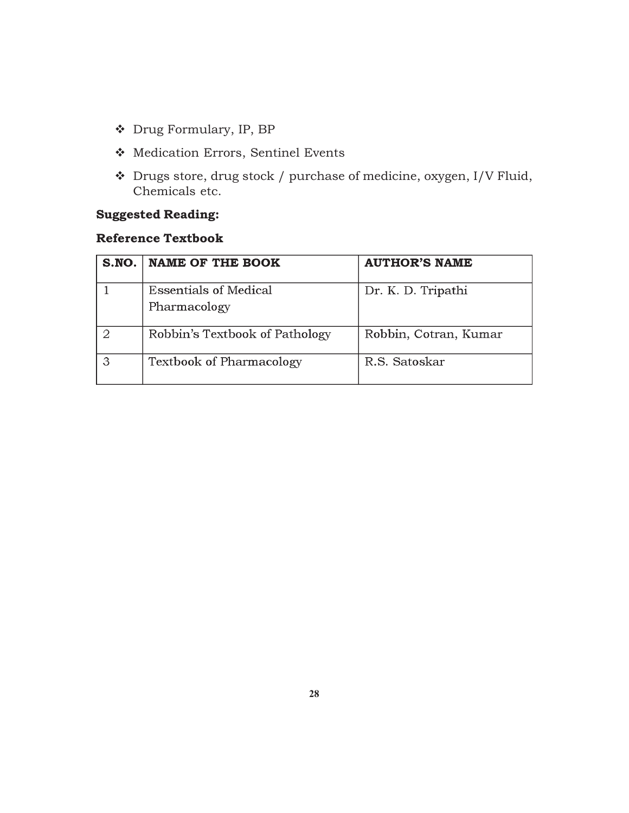- Drug Formulary, IP, BP
- Medication Errors, Sentinel Events
- Drugs store, drug stock / purchase of medicine, oxygen, I/V Fluid, Chemicals etc.

## **Suggested Reading:**

## **Reference Textbook**

| S.NO. | <b>NAME OF THE BOOK</b>         | <b>AUTHOR'S NAME</b>  |
|-------|---------------------------------|-----------------------|
|       | Essentials of Medical           | Dr. K. D. Tripathi    |
|       | Pharmacology                    |                       |
|       | Robbin's Textbook of Pathology  | Robbin, Cotran, Kumar |
|       | <b>Textbook of Pharmacology</b> | R.S. Satoskar         |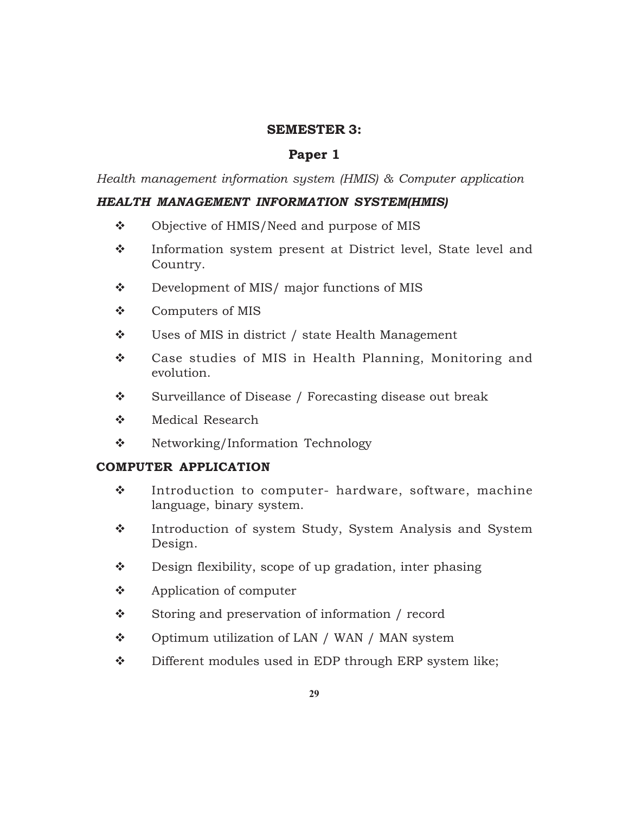#### **SEMESTER 3:**

### **Paper 1**

*Health management information system (HMIS) & Computer application*

#### *HEALTH MANAGEMENT INFORMATION SYSTEM(HMIS)*

- ❖ Objective of HMIS/Need and purpose of MIS
- \* Information system present at District level, State level and Country.
- Development of MIS/ major functions of MIS
- Computers of MIS
- Uses of MIS in district / state Health Management
- ◆ Case studies of MIS in Health Planning, Monitoring and evolution.
- ❖ Surveillance of Disease / Forecasting disease out break
- Medical Research
- ❖ Networking/Information Technology

### **COMPUTER APPLICATION**

- $\cdot$  Introduction to computer- hardware, software, machine language, binary system.
- \* Introduction of system Study, System Analysis and System Design.
- Design flexibility, scope of up gradation, inter phasing
- Application of computer
- ❖ Storing and preservation of information / record
- ◆ Optimum utilization of LAN / WAN / MAN system
- ◆ Different modules used in EDP through ERP system like;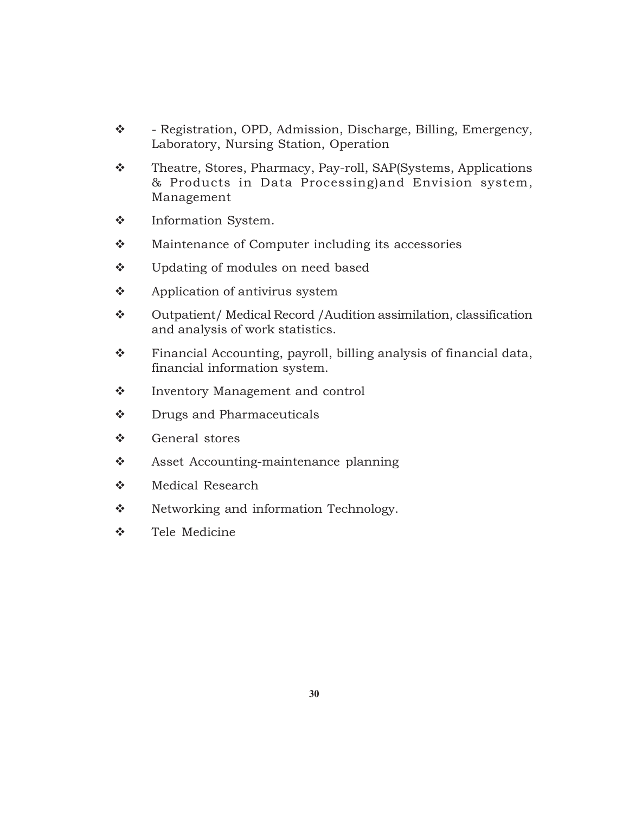- \* Registration, OPD, Admission, Discharge, Billing, Emergency, Laboratory, Nursing Station, Operation
- \* Theatre, Stores, Pharmacy, Pay-roll, SAP(Systems, Applications & Products in Data Processing)and Envision system, Management
- $\div$  Information System.
- **\*** Maintenance of Computer including its accessories
- ❖ Updating of modules on need based
- $\triangle$  Application of antivirus system
- Outpatient/ Medical Record /Audition assimilation, classification and analysis of work statistics.
- Financial Accounting, payroll, billing analysis of financial data, financial information system.
- ❖ Inventory Management and control
- $\bullet$  Drugs and Pharmaceuticals
- General stores
- ❖ Asset Accounting-maintenance planning
- Medical Research
- ❖ Networking and information Technology.
- Tele Medicine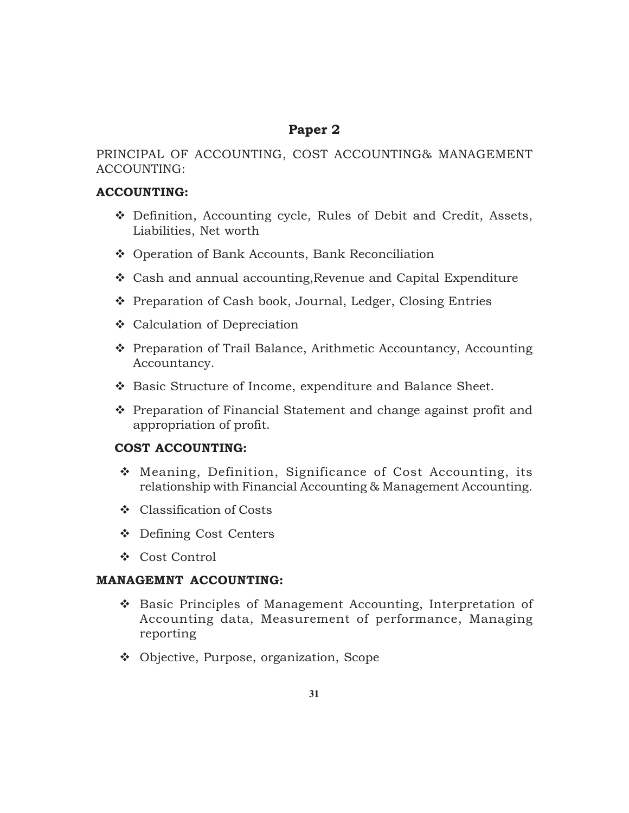## **Paper 2**

### PRINCIPAL OF ACCOUNTING, COST ACCOUNTING& MANAGEMENT ACCOUNTING:

### **ACCOUNTING:**

- Definition, Accounting cycle, Rules of Debit and Credit, Assets, Liabilities, Net worth
- Operation of Bank Accounts, Bank Reconciliation
- Cash and annual accounting,Revenue and Capital Expenditure
- ❖ Preparation of Cash book, Journal, Ledger, Closing Entries
- Calculation of Depreciation
- ◆ Preparation of Trail Balance, Arithmetic Accountancy, Accounting Accountancy.
- Basic Structure of Income, expenditure and Balance Sheet.
- ◆ Preparation of Financial Statement and change against profit and appropriation of profit.

### **COST ACCOUNTING:**

- Meaning, Definition, Significance of Cost Accounting, its relationship with Financial Accounting & Management Accounting.
- Classification of Costs
- Defining Cost Centers
- Cost Control

### **MANAGEMNT ACCOUNTING:**

- ◆ Basic Principles of Management Accounting, Interpretation of Accounting data, Measurement of performance, Managing reporting
- Objective, Purpose, organization, Scope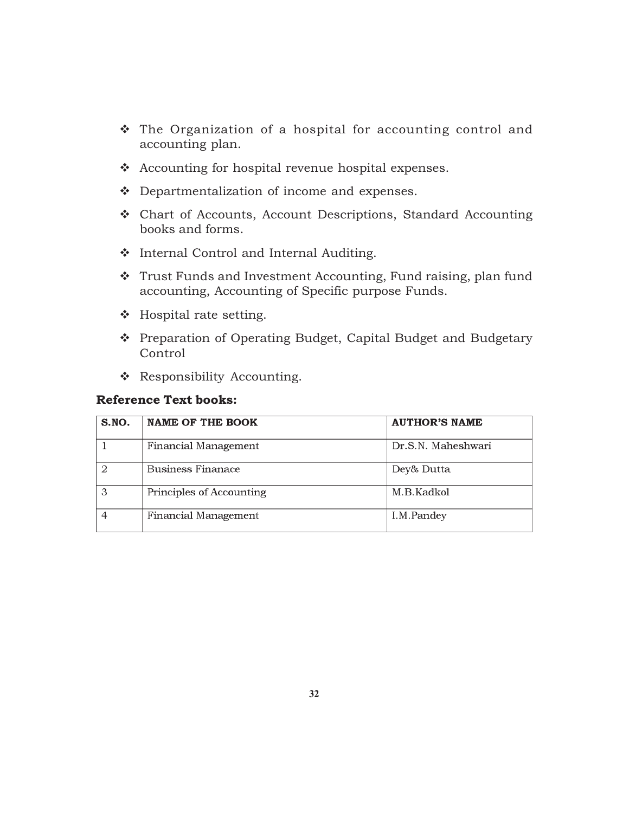- The Organization of a hospital for accounting control and accounting plan.
- Accounting for hospital revenue hospital expenses.
- Departmentalization of income and expenses.
- Chart of Accounts, Account Descriptions, Standard Accounting books and forms.
- Internal Control and Internal Auditing.
- \* Trust Funds and Investment Accounting, Fund raising, plan fund accounting, Accounting of Specific purpose Funds.
- ❖ Hospital rate setting.
- \* Preparation of Operating Budget, Capital Budget and Budgetary Control
- \* Responsibility Accounting.

#### **Reference Text books:**

| S.NO. | <b>NAME OF THE BOOK</b>  | <b>AUTHOR'S NAME</b> |
|-------|--------------------------|----------------------|
|       | Financial Management     | Dr.S.N. Maheshwari   |
|       | Business Finanace        | Dey& Dutta           |
| З     | Principles of Accounting | M.B.Kadkol           |
|       | Financial Management     | I.M.Pandey           |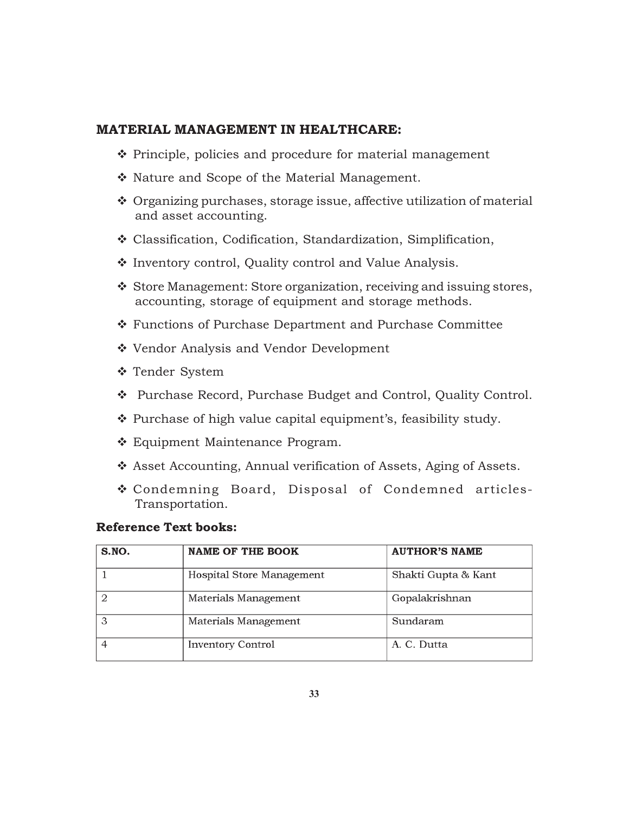#### **MATERIAL MANAGEMENT IN HEALTHCARE:**

- $\cdot$  Principle, policies and procedure for material management
- \* Nature and Scope of the Material Management.
- Organizing purchases, storage issue, affective utilization of material and asset accounting.
- Classification, Codification, Standardization, Simplification,
- ❖ Inventory control, Quality control and Value Analysis.
- \* Store Management: Store organization, receiving and issuing stores, accounting, storage of equipment and storage methods.
- Functions of Purchase Department and Purchase Committee
- ❖ Vendor Analysis and Vendor Development
- Tender System
- Purchase Record, Purchase Budget and Control, Quality Control.
- $\cdot$  Purchase of high value capital equipment's, feasibility study.
- Equipment Maintenance Program.
- Asset Accounting, Annual verification of Assets, Aging of Assets.
- Condemning Board, Disposal of Condemned articles-Transportation.

#### **Reference Text books:**

| S.NO. | <b>NAME OF THE BOOK</b>   | <b>AUTHOR'S NAME</b> |
|-------|---------------------------|----------------------|
|       | Hospital Store Management | Shakti Gupta & Kant  |
|       | Materials Management      | Gopalakrishnan       |
| հ     | Materials Management      | Sundaram             |
|       | <b>Inventory Control</b>  | A. C. Dutta          |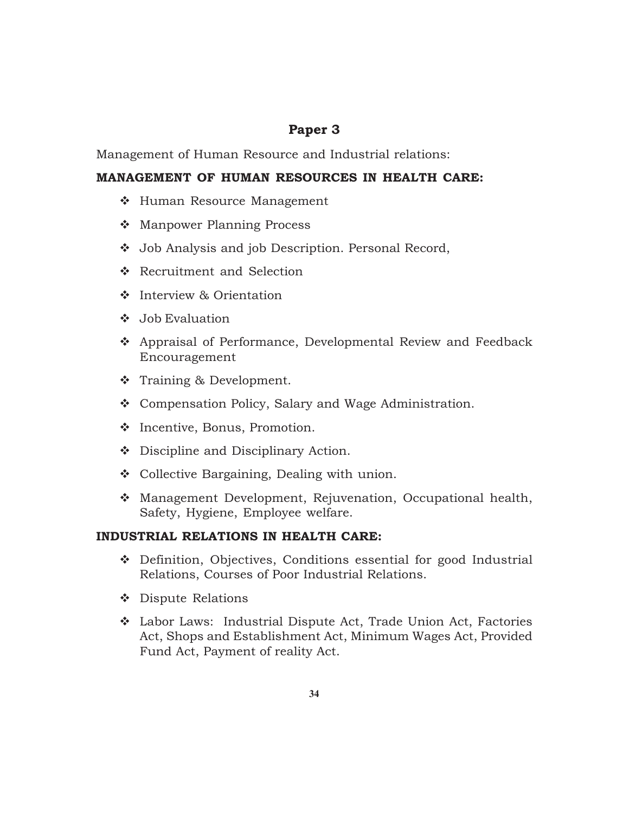## **Paper 3**

Management of Human Resource and Industrial relations:

#### **MANAGEMENT OF HUMAN RESOURCES IN HEALTH CARE:**

- ❖ Human Resource Management
- ❖ Manpower Planning Process
- Job Analysis and job Description. Personal Record,
- Recruitment and Selection
- ❖ Interview & Orientation
- $\bullet$  Job Evaluation
- Appraisal of Performance, Developmental Review and Feedback Encouragement
- $\div$  Training & Development.
- Compensation Policy, Salary and Wage Administration.
- ❖ Incentive, Bonus, Promotion.
- ❖ Discipline and Disciplinary Action.
- ❖ Collective Bargaining, Dealing with union.
- Management Development, Rejuvenation, Occupational health, Safety, Hygiene, Employee welfare.

#### **INDUSTRIAL RELATIONS IN HEALTH CARE:**

- Definition, Objectives, Conditions essential for good Industrial Relations, Courses of Poor Industrial Relations.
- ❖ Dispute Relations
- Labor Laws: Industrial Dispute Act, Trade Union Act, Factories Act, Shops and Establishment Act, Minimum Wages Act, Provided Fund Act, Payment of reality Act.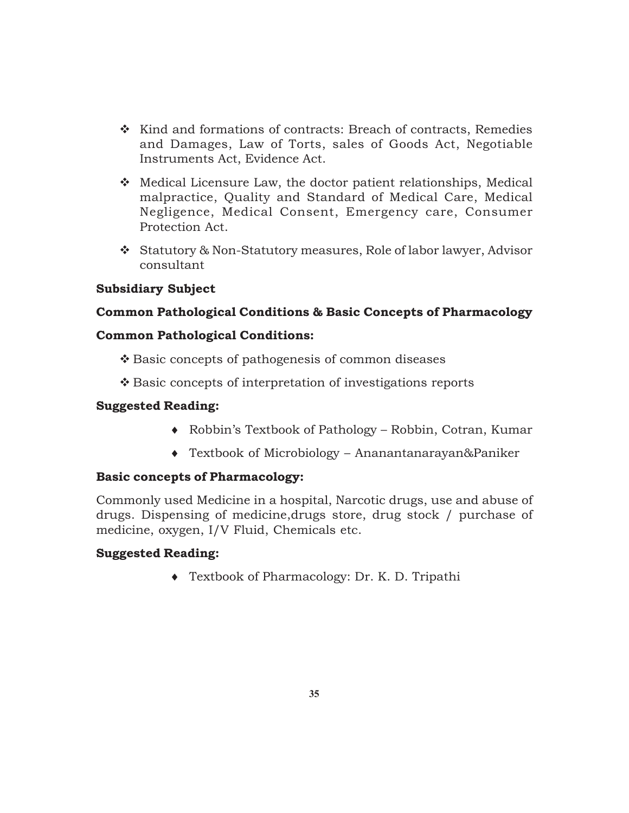- $\div$  Kind and formations of contracts: Breach of contracts, Remedies and Damages, Law of Torts, sales of Goods Act, Negotiable Instruments Act, Evidence Act.
- Medical Licensure Law, the doctor patient relationships, Medical malpractice, Quality and Standard of Medical Care, Medical Negligence, Medical Consent, Emergency care, Consumer Protection Act.
- Statutory & Non-Statutory measures, Role of labor lawyer, Advisor consultant

#### **Subsidiary Subject**

### **Common Pathological Conditions & Basic Concepts of Pharmacology**

#### **Common Pathological Conditions:**

- ❖ Basic concepts of pathogenesis of common diseases
- ❖ Basic concepts of interpretation of investigations reports

#### **Suggested Reading:**

- ♦ Robbin's Textbook of Pathology Robbin, Cotran, Kumar
- ♦ Textbook of Microbiology Ananantanarayan&Paniker

### **Basic concepts of Pharmacology:**

Commonly used Medicine in a hospital, Narcotic drugs, use and abuse of drugs. Dispensing of medicine,drugs store, drug stock / purchase of medicine, oxygen, I/V Fluid, Chemicals etc.

### **Suggested Reading:**

♦ Textbook of Pharmacology: Dr. K. D. Tripathi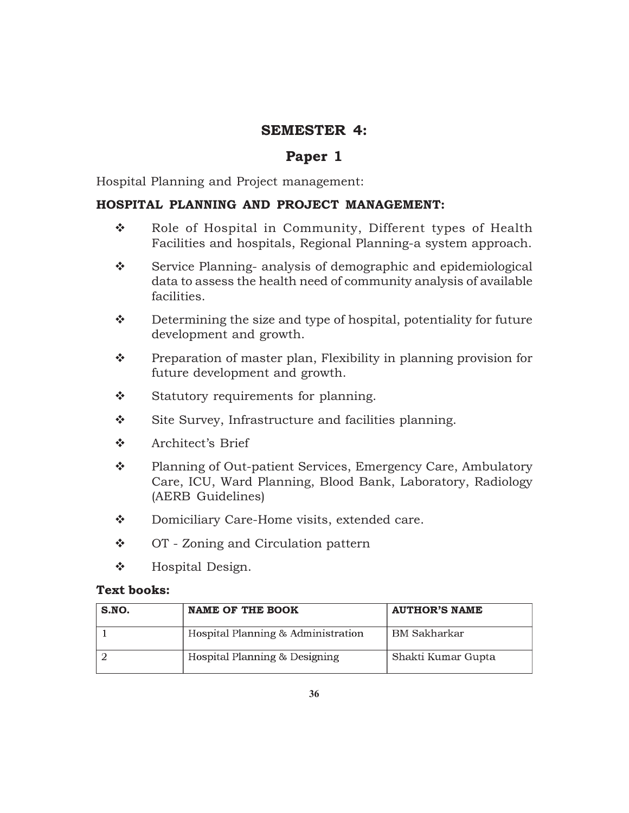## **SEMESTER 4:**

## **Paper 1**

Hospital Planning and Project management:

### **HOSPITAL PLANNING AND PROJECT MANAGEMENT:**

- \* Role of Hospital in Community, Different types of Health Facilities and hospitals, Regional Planning-a system approach.
- Service Planning- analysis of demographic and epidemiological data to assess the health need of community analysis of available facilities.
- $\mathbf{\hat{P}}$  Determining the size and type of hospital, potentiality for future development and growth.
- $\mathbf{\hat{P}}$  Preparation of master plan, Flexibility in planning provision for future development and growth.
- Statutory requirements for planning.
- Site Survey, Infrastructure and facilities planning.
- Architect's Brief
- \* Planning of Out-patient Services, Emergency Care, Ambulatory Care, ICU, Ward Planning, Blood Bank, Laboratory, Radiology (AERB Guidelines)
- Domiciliary Care-Home visits, extended care.
- ❖ OT Zoning and Circulation pattern
- $\bullet$  Hospital Design.

#### **Text books:**

| S.NO. | <b>NAME OF THE BOOK</b>            | <b>AUTHOR'S NAME</b> |
|-------|------------------------------------|----------------------|
|       | Hospital Planning & Administration | <b>BM</b> Sakharkar  |
|       | Hospital Planning & Designing      | Shakti Kumar Gupta   |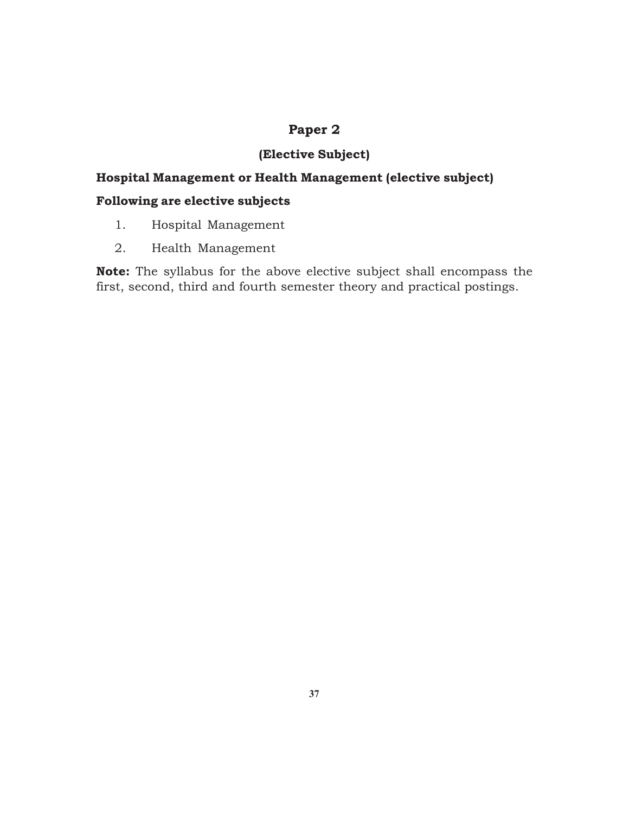## **Paper 2**

## **(Elective Subject)**

## **Hospital Management or Health Management (elective subject)**

## **Following are elective subjects**

- 1. Hospital Management
- 2. Health Management

**Note:** The syllabus for the above elective subject shall encompass the first, second, third and fourth semester theory and practical postings.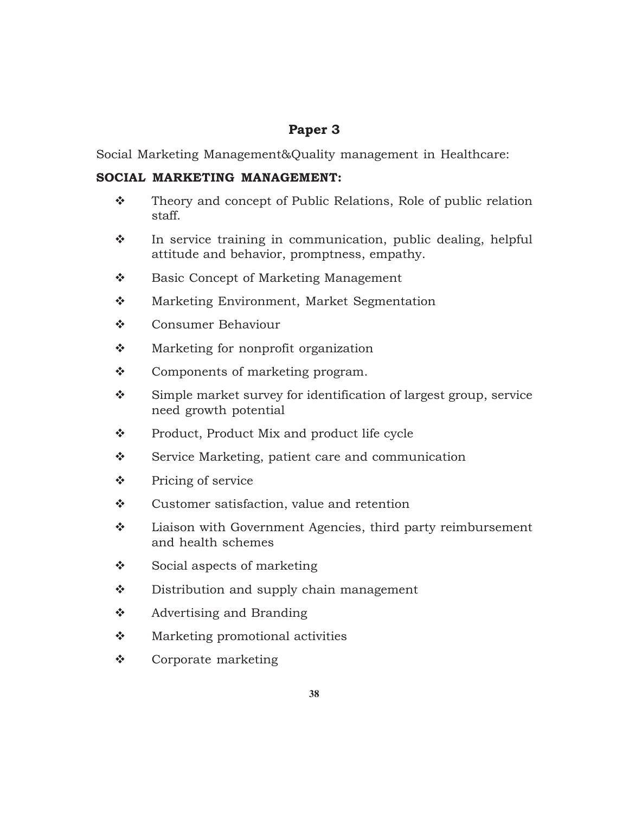## **Paper 3**

Social Marketing Management&Quality management in Healthcare:

### **SOCIAL MARKETING MANAGEMENT:**

- \* Theory and concept of Public Relations, Role of public relation staff.
- $\cdot$  In service training in communication, public dealing, helpful attitude and behavior, promptness, empathy.
- Basic Concept of Marketing Management
- **\*** Marketing Environment, Market Segmentation
- **❖** Consumer Behaviour
- ❖ Marketing for nonprofit organization
- Components of marketing program.
- Simple market survey for identification of largest group, service need growth potential
- ❖ Product, Product Mix and product life cycle
- $\div$  Service Marketing, patient care and communication
- Pricing of service
- ❖ Customer satisfaction, value and retention
- $\mathbf{\hat{P}}$  Liaison with Government Agencies, third party reimbursement and health schemes
- $\bullet$  Social aspects of marketing
- ❖ Distribution and supply chain management
- $\triangle$  Advertising and Branding
- ◆ Marketing promotional activities
- Corporate marketing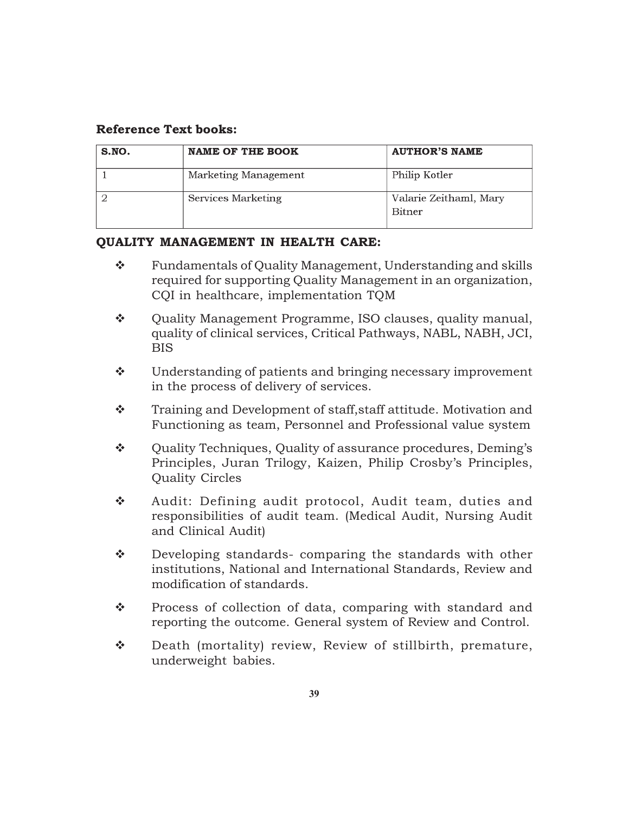#### **Reference Text books:**

| S.NO. | <b>NAME OF THE BOOK</b> | <b>AUTHOR'S NAME</b>                    |
|-------|-------------------------|-----------------------------------------|
|       | Marketing Management    | Philip Kotler                           |
|       | Services Marketing      | Valarie Zeithaml, Mary<br><b>Bitner</b> |

#### **QUALITY MANAGEMENT IN HEALTH CARE:**

- \* Fundamentals of Quality Management, Understanding and skills required for supporting Quality Management in an organization, CQI in healthcare, implementation TQM
- $\div$  Ouality Management Programme, ISO clauses, quality manual, quality of clinical services, Critical Pathways, NABL, NABH, JCI, BIS
- Understanding of patients and bringing necessary improvement in the process of delivery of services.
- \* Training and Development of staff, staff attitude. Motivation and Functioning as team, Personnel and Professional value system
- $\mathbf{\hat{P}}$  Quality Techniques, Quality of assurance procedures, Deming's Principles, Juran Trilogy, Kaizen, Philip Crosby's Principles, Quality Circles
- ◆ Audit: Defining audit protocol, Audit team, duties and responsibilities of audit team. (Medical Audit, Nursing Audit and Clinical Audit)
- $\mathbf{\hat{P}}$  Developing standards- comparing the standards with other institutions, National and International Standards, Review and modification of standards.
- ◆ Process of collection of data, comparing with standard and reporting the outcome. General system of Review and Control.
- Death (mortality) review, Review of stillbirth, premature, underweight babies.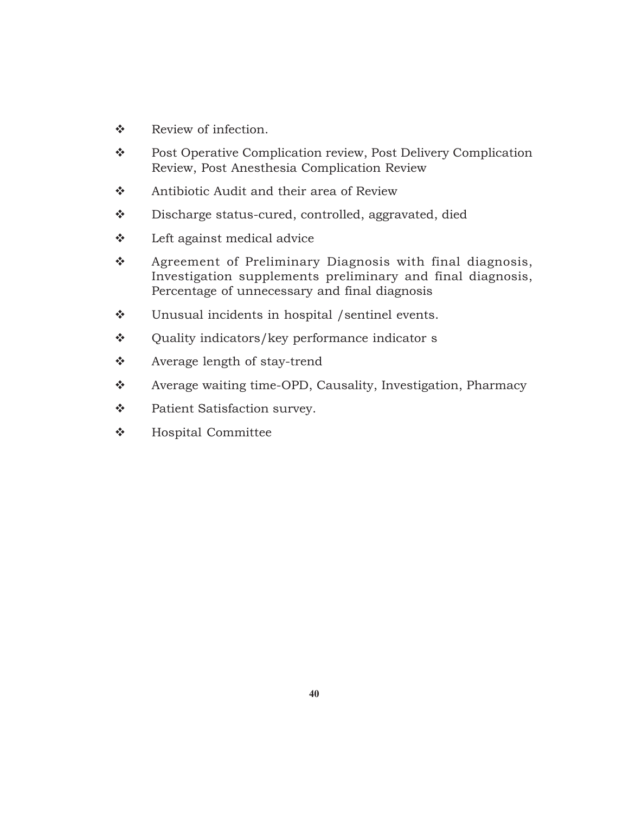- Review of infection.
- \* Post Operative Complication review, Post Delivery Complication Review, Post Anesthesia Complication Review
- ❖ Antibiotic Audit and their area of Review
- Discharge status-cured, controlled, aggravated, died
- $\bullet$  Left against medical advice
- \* Agreement of Preliminary Diagnosis with final diagnosis, Investigation supplements preliminary and final diagnosis, Percentage of unnecessary and final diagnosis
- Unusual incidents in hospital /sentinel events.
- Quality indicators/key performance indicator s
- Average length of stay-trend
- \* Average waiting time-OPD, Causality, Investigation, Pharmacy
- Patient Satisfaction survey.
- **\*** Hospital Committee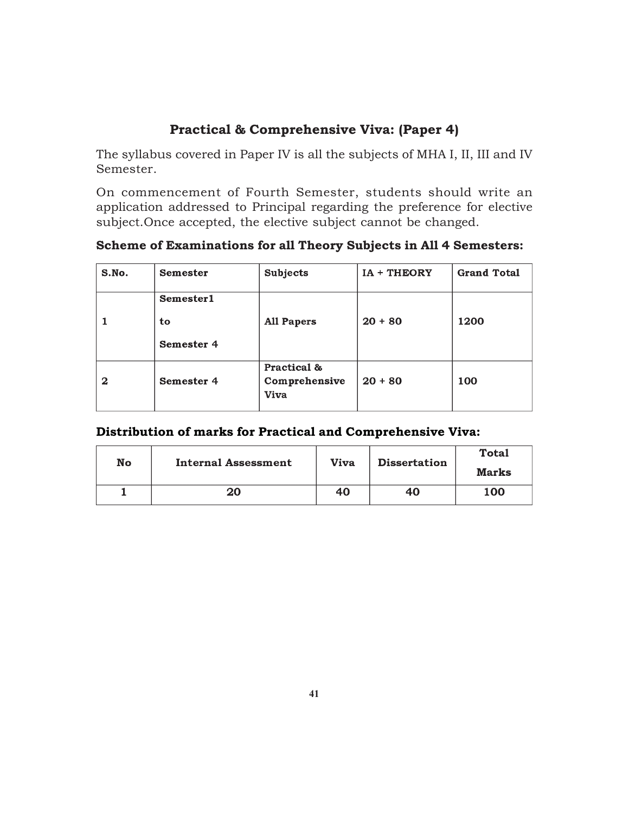## **Practical & Comprehensive Viva: (Paper 4)**

The syllabus covered in Paper IV is all the subjects of MHA I, II, III and IV Semester.

On commencement of Fourth Semester, students should write an application addressed to Principal regarding the preference for elective subject.Once accepted, the elective subject cannot be changed.

**Scheme of Examinations for all Theory Subjects in All 4 Semesters:**

| S.No.        | <b>Semester</b>                      | <b>Subjects</b>                             | IA + THEORY | <b>Grand Total</b> |
|--------------|--------------------------------------|---------------------------------------------|-------------|--------------------|
|              | <b>Semester1</b><br>to<br>Semester 4 | <b>All Papers</b>                           | $20 + 80$   | 1200               |
| $\mathbf{2}$ | Semester 4                           | Practical &<br>Comprehensive<br><b>Viva</b> | $20 + 80$   | 100                |

### **Distribution of marks for Practical and Comprehensive Viva:**

| No | Internal Assessment | Viva | <b>Dissertation</b> | <b>Total</b><br>Marks |
|----|---------------------|------|---------------------|-----------------------|
|    | 20                  | 40   | 40                  | 100                   |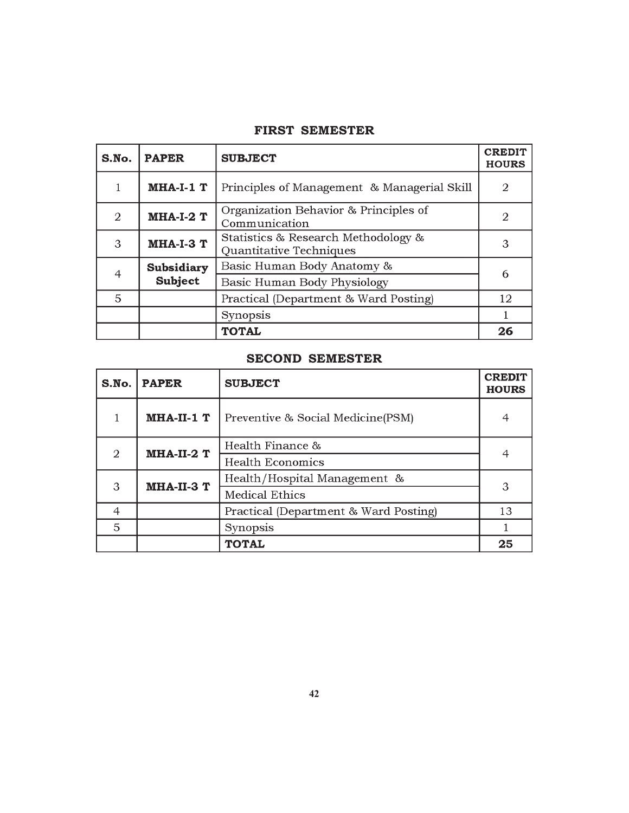| S.No.          | <b>PAPER</b>                 | <b>SUBJECT</b>                                                 | <b>CREDIT</b><br><b>HOURS</b> |
|----------------|------------------------------|----------------------------------------------------------------|-------------------------------|
|                | $MHA-I-1$ $T$                | Principles of Management & Managerial Skill                    | 2                             |
| $\mathfrak{D}$ | $MHA-I-2$ T                  | Organization Behavior & Principles of<br>Communication         | 2                             |
| 3              | <b>MHA-I-3 T</b>             | Statistics & Research Methodology &<br>Quantitative Techniques | 3                             |
|                | Subsidiary<br><b>Subject</b> | Basic Human Body Anatomy &                                     | 6                             |
|                |                              | Basic Human Body Physiology                                    |                               |
| 5              |                              | Practical (Department & Ward Posting)                          | 12                            |
|                |                              | Synopsis                                                       |                               |
|                |                              | <b>TOTAL</b>                                                   | 26                            |

### **SECOND SEMESTER**

| S.No.                       | <b>PAPER</b>   | <b>SUBJECT</b>                        | <b>CREDIT</b><br><b>HOURS</b> |
|-----------------------------|----------------|---------------------------------------|-------------------------------|
|                             | $MHA-II-1$ $T$ | Preventive & Social Medicine (PSM)    |                               |
| $\mathcal{D}_{\mathcal{L}}$ | MHA-II-2 T     | Health Finance &                      | 4                             |
|                             |                | <b>Health Economics</b>               |                               |
| 3                           | MHA-II-3 T     | Health/Hospital Management &          | 3                             |
|                             |                | <b>Medical Ethics</b>                 |                               |
| 4                           |                | Practical (Department & Ward Posting) | 13                            |
| 5                           |                | Synopsis                              |                               |
|                             |                | <b>TOTAL</b>                          | 25                            |